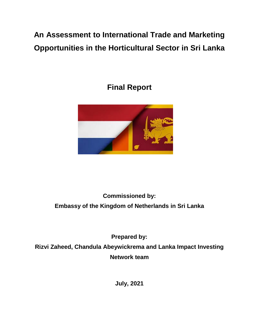# **An Assessment to International Trade and Marketing Opportunities in the Horticultural Sector in Sri Lanka**

# **Final Report**



# **Commissioned by: Embassy of the Kingdom of Netherlands in Sri Lanka**

**Prepared by:**

**Rizvi Zaheed, Chandula Abeywickrema and Lanka Impact Investing Network team**

**July, 2021**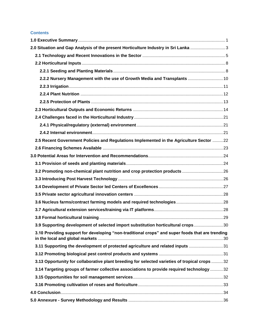#### **Contents**

| 2.0 Situation and Gap Analysis of the present Horticulture Industry in Sri Lanka                |  |
|-------------------------------------------------------------------------------------------------|--|
|                                                                                                 |  |
|                                                                                                 |  |
|                                                                                                 |  |
| 2.2.2 Nursery Management with the use of Growth Media and Transplants  10                       |  |
|                                                                                                 |  |
|                                                                                                 |  |
|                                                                                                 |  |
|                                                                                                 |  |
|                                                                                                 |  |
|                                                                                                 |  |
|                                                                                                 |  |
| 2.5 Recent Government Policies and Regulations Implemented in the Agriculture Sector 22         |  |
|                                                                                                 |  |
|                                                                                                 |  |
|                                                                                                 |  |
|                                                                                                 |  |
|                                                                                                 |  |
|                                                                                                 |  |
|                                                                                                 |  |
|                                                                                                 |  |
|                                                                                                 |  |
|                                                                                                 |  |
| 3.9 Supporting development of selected import substitution horticultural crops30                |  |
| 3.10 Providing support for developing "non-traditional crops" and super foods that are trending |  |
| 3.11 Supporting the development of protected agriculture and related inputs 31                  |  |
|                                                                                                 |  |
| 3.13 Opportunity for collaborative plant breeding for selected varieties of tropical crops  32  |  |
| 3.14 Targeting groups of farmer collective associations to provide required technology 32       |  |
|                                                                                                 |  |
|                                                                                                 |  |
|                                                                                                 |  |
|                                                                                                 |  |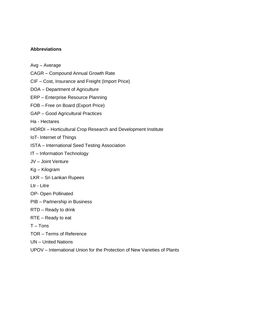### **Abbreviations**

- Avg Average
- CAGR Compound Annual Growth Rate
- CIF Cost, Insurance and Freight (Import Price)
- DOA Department of Agriculture
- ERP Enterprise Resource Planning
- FOB Free on Board (Export Price)
- GAP Good Agricultural Practices
- Ha Hectares
- HORDI Horticultural Crop Research and Development Institute
- IoT- Internet of Things
- ISTA International Seed Testing Association
- IT Information Technology
- JV Joint Venture
- Kg Kilogram
- LKR Sri Lankan Rupees
- Ltr Litre
- OP- Open Pollinated
- PIB Partnership in Business
- RTD Ready to drink
- RTE Ready to eat
- $T T$ ons
- TOR Terms of Reference
- UN United Nations
- UPOV International Union for the Protection of New Varieties of Plants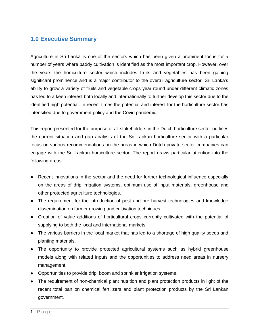# <span id="page-3-0"></span>**1.0 Executive Summary**

Agriculture in Sri Lanka is one of the sectors which has been given a prominent focus for a number of years where paddy cultivation is identified as the most important crop. However, over the years the horticulture sector which includes fruits and vegetables has been gaining significant prominence and is a major contributor to the overall agriculture sector. Sri Lanka's ability to grow a variety of fruits and vegetable crops year round under different climatic zones has led to a keen interest both locally and internationally to further develop this sector due to the identified high potential. In recent times the potential and interest for the horticulture sector has intensified due to government policy and the Covid pandemic.

This report presented for the purpose of all stakeholders in the Dutch horticulture sector outlines the current situation and gap analysis of the Sri Lankan horticulture sector with a particular focus on various recommendations on the areas in which Dutch private sector companies can engage with the Sri Lankan horticulture sector. The report draws particular attention into the following areas.

- Recent innovations in the sector and the need for further technological influence especially on the areas of drip irrigation systems, optimum use of input materials, greenhouse and other protected agriculture technologies.
- The requirement for the introduction of post and pre harvest technologies and knowledge dissemination on farmer growing and cultivation techniques.
- Creation of value additions of horticultural crops currently cultivated with the potential of supplying to both the local and international markets.
- The various barriers in the local market that has led to a shortage of high quality seeds and planting materials.
- The opportunity to provide protected agricultural systems such as hybrid greenhouse models along with related inputs and the opportunities to address need areas in nursery management.
- Opportunities to provide drip, boom and sprinkler irrigation systems.
- The requirement of non-chemical plant nutrition and plant protection products in light of the recent total ban on chemical fertilizers and plant protection products by the Sri Lankan government.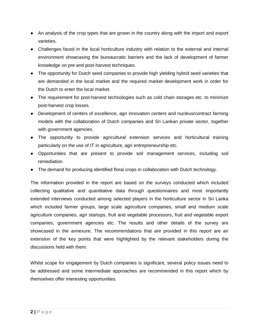- An analysis of the crop types that are grown in the country along with the import and export varieties.
- Challenges faced in the local horticulture industry with relation to the external and internal environment showcasing the bureaucratic barriers and the lack of development of farmer knowledge on pre and post-harvest techniques.
- The opportunity for Dutch seed companies to provide high yielding hybrid seed varieties that are demanded in the local market and the required market development work in order for the Dutch to enter the local market.
- The requirement for post-harvest technologies such as cold chain storages etc. to minimize post-harvest crop losses.
- Development of centers of excellence, agri innovation centers and nucleus/contract farming models with the collaboration of Dutch companies and Sri Lankan private sector, together with government agencies.
- The opportunity to provide agricultural extension services and horticultural training particularly on the use of IT in agriculture, agri entrepreneurship etc.
- Opportunities that are present to provide soil management services, including soil remediation.
- The demand for producing identified floral crops in collaboration with Dutch technology.

The information provided in the report are based on the surveys conducted which included collecting qualitative and quantitative data through questionnaires and most importantly extended interviews conducted among selected players in the horticulture sector in Sri Lanka which included farmer groups, large scale agriculture companies, small and medium scale agriculture companies, agri startups, fruit and vegetable processors, fruit and vegetable export companies, government agencies etc. The results and other details of the survey are showcased in the annexure. The recommendations that are provided in this report are an extension of the key points that were highlighted by the relevant stakeholders during the discussions held with them.

Whilst scope for engagement by Dutch companies is significant, several policy issues need to be addressed and some intermediate approaches are recommended in this report which by themselves offer interesting opportunities.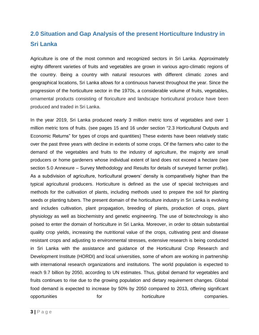# <span id="page-5-0"></span>**2.0 Situation and Gap Analysis of the present Horticulture Industry in Sri Lanka**

Agriculture is one of the most common and recognized sectors in Sri Lanka. Approximately eighty different varieties of fruits and vegetables are grown in various agro-climatic regions of the country. Being a country with natural resources with different climatic zones and geographical locations, Sri Lanka allows for a continuous harvest throughout the year. Since the progression of the horticulture sector in the 1970s, a considerable volume of fruits, vegetables, ornamental products consisting of floriculture and landscape horticultural produce have been produced and traded in Sri Lanka.

In the year 2019, Sri Lanka produced nearly 3 million metric tons of vegetables and over 1 million metric tons of fruits. (see pages 15 and 16 under section "2.3 Horticultural Outputs and Economic Returns" for types of crops and quantities) These extents have been relatively static over the past three years with decline in extents of some crops. Of the farmers who cater to the demand of the vegetables and fruits to the industry of agriculture, the majority are small producers or home gardeners whose individual extent of land does not exceed a hectare (see section 5.0 Annexure – Survey Methodology and Results for details of surveyed farmer profile). As a subdivision of agriculture, horticultural growers' density is comparatively higher than the typical agricultural producers. Horticulture is defined as the use of special techniques and methods for the cultivation of plants, including methods used to prepare the soil for planting seeds or planting tubers. The present domain of the horticulture industry in Sri Lanka is evolving and includes cultivation, plant propagation, breeding of plants, production of crops, plant physiology as well as biochemistry and genetic engineering. The use of biotechnology is also poised to enter the domain of horticulture in Sri Lanka. Moreover, in order to obtain substantial quality crop yields, increasing the nutritional value of the crops, cultivating pest and disease resistant crops and adjusting to environmental stresses, extensive research is being conducted in Sri Lanka with the assistance and guidance of the Horticultural Crop Research and Development Institute (HORDI) and local universities, some of whom are working in partnership with international research organizations and institutions. The world population is expected to reach 9.7 billion by 2050, according to UN estimates. Thus, global demand for vegetables and fruits continues to rise due to the growing population and dietary requirement changes. Global food demand is expected to increase by 50% by 2050 compared to 2013, offering significant opportunities for the horticulture companies.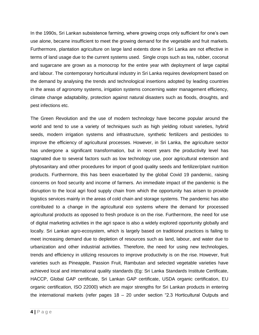In the 1990s, Sri Lankan subsistence farming, where growing crops only sufficient for one's own use alone, became insufficient to meet the growing demand for the vegetable and fruit markets. Furthermore, plantation agriculture on large land extents done in Sri Lanka are not effective in terms of land usage due to the current systems used. Single crops such as tea, rubber, coconut and sugarcane are grown as a monocrop for the entire year with deployment of large capital and labour. The contemporary horticultural industry in Sri Lanka requires development based on the demand by analysing the trends and technological insertions adopted by leading countries in the areas of agronomy systems, irrigation systems concerning water management efficiency, climate change adaptability, protection against natural disasters such as floods, droughts, and pest infections etc.

The Green Revolution and the use of modern technology have become popular around the world and tend to use a variety of techniques such as high yielding robust varieties, hybrid seeds, modern irrigation systems and infrastructure, synthetic fertilizers and pesticides to improve the efficiency of agricultural processes. However, in Sri Lanka, the agriculture sector has undergone a significant transformation, but in recent years the productivity level has stagnated due to several factors such as low technology use, poor agricultural extension and phytosanitary and other procedures for import of good quality seeds and fertilizer/plant nutrition products. Furthermore, this has been exacerbated by the global Covid 19 pandemic, raising concerns on food security and income of farmers. An immediate impact of the pandemic is the disruption to the local agri food supply chain from which the opportunity has arisen to provide logistics services mainly in the areas of cold chain and storage systems. The pandemic has also contributed to a change in the agricultural eco systems where the demand for processed agricultural products as opposed to fresh produce is on the rise. Furthermore, the need for use of digital marketing activities in the agri space is also a widely explored opportunity globally and locally. Sri Lankan agro-ecosystem, which is largely based on traditional practices is failing to meet increasing demand due to depletion of resources such as land, labour, and water due to urbanization and other industrial activities. Therefore, the need for using new technologies, trends and efficiency in utilizing resources to improve productivity is on the rise. However, fruit varieties such as Pineapple, Passion Fruit, Rambutan and selected vegetable varieties have achieved local and international quality standards (Eg: Sri Lanka Standards Institute Certificate, HACCP, Global GAP certificate, Sri Lankan GAP certificate, USDA organic certification, EU organic certification, ISO 22000) which are major strengths for Sri Lankan products in entering the international markets (refer pages 18 – 20 under section "2.3 Horticultural Outputs and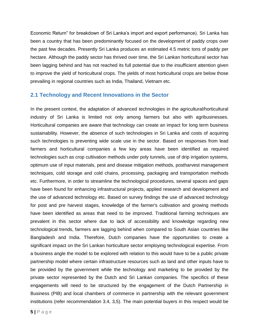Economic Return" for breakdown of Sri Lanka's import and export performance). Sri Lanka has been a country that has been predominantly focused on the development of paddy crops over the past few decades. Presently Sri Lanka produces an estimated 4.5 metric tons of paddy per hectare. Although the paddy sector has thrived over time, the Sri Lankan horticultural sector has been lagging behind and has not reached its full potential due to the insufficient attention given to improve the yield of horticultural crops. The yields of most horticultural crops are below those prevailing in regional countries such as India, Thailand, Vietnam etc.

### <span id="page-7-0"></span>**2.1 Technology and Recent Innovations in the Sector**

In the present context, the adaptation of advanced technologies in the agricultural/horticultural industry of Sri Lanka is limited not only among farmers but also with agribusinesses. Horticultural companies are aware that technology can create an impact for long term business sustainability. However, the absence of such technologies in Sri Lanka and costs of acquiring such technologies is preventing wide scale use in the sector. Based on responses from lead farmers and horticultural companies a few key areas have been identified as required technologies such as crop cultivation methods under poly tunnels, use of drip irrigation systems, optimum use of input materials, pest and disease mitigation methods, postharvest management techniques, cold storage and cold chains, processing, packaging and transportation methods etc. Furthermore, in order to streamline the technological procedures, several spaces and gaps have been found for enhancing infrastructural projects, applied research and development and the use of advanced technology etc. Based on survey findings the use of advanced technology for post and pre harvest stages, knowledge of the farmer's cultivation and growing methods have been identified as areas that need to be improved. Traditional farming techniques are prevalent in this sector where due to lack of accessibility and knowledge regarding new technological trends, farmers are lagging behind when compared to South Asian countries like Bangladesh and India. Therefore, Dutch companies have the opportunities to create a significant impact on the Sri Lankan horticulture sector employing technological expertise. From a business angle the model to be explored with relation to this would have to be a public private partnership model where certain infrastructure resources such as land and other inputs have to be provided by the government while the technology and marketing to be provided by the private sector represented by the Dutch and Sri Lankan companies. The specifics of these engagements will need to be structured by the engagement of the Dutch Partnership in Business (PIB) and local chambers of commerce in partnership with the relevant government institutions (refer recommendation 3.4, 3,5). The main potential buyers in this respect would be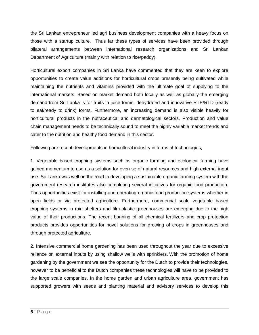the Sri Lankan entrepreneur led agri business development companies with a heavy focus on those with a startup culture. Thus far these types of services have been provided through bilateral arrangements between international research organizations and Sri Lankan Department of Agriculture (mainly with relation to rice/paddy).

Horticultural export companies in Sri Lanka have commented that they are keen to explore opportunities to create value additions for horticultural crops presently being cultivated while maintaining the nutrients and vitamins provided with the ultimate goal of supplying to the international markets. Based on market demand both locally as well as globally the emerging demand from Sri Lanka is for fruits in juice forms, dehydrated and innovative RTE/RTD (ready to eat/ready to drink) forms. Furthermore, an increasing demand is also visible heavily for horticultural products in the nutraceutical and dermatological sectors. Production and value chain management needs to be technically sound to meet the highly variable market trends and cater to the nutrition and healthy food demand in this sector.

Following are recent developments in horticultural industry in terms of technologies;

1. Vegetable based cropping systems such as organic farming and ecological farming have gained momentum to use as a solution for overuse of natural resources and high external input use. Sri Lanka was well on the road to developing a sustainable organic farming system with the government research institutes also completing several initiatives for organic food production. Thus opportunities exist for installing and operating organic food production systems whether in open fields or via protected agriculture. Furthermore, commercial scale vegetable based cropping systems in rain shelters and film-plastic greenhouses are emerging due to the high value of their productions. The recent banning of all chemical fertilizers and crop protection products provides opportunities for novel solutions for growing of crops in greenhouses and through protected agriculture.

2. Intensive commercial home gardening has been used throughout the year due to excessive reliance on external inputs by using shallow wells with sprinklers. With the promotion of home gardening by the government we see the opportunity for the Dutch to provide their technologies, however to be beneficial to the Dutch companies these technologies will have to be provided to the large scale companies. In the home garden and urban agriculture area, government has supported growers with seeds and planting material and advisory services to develop this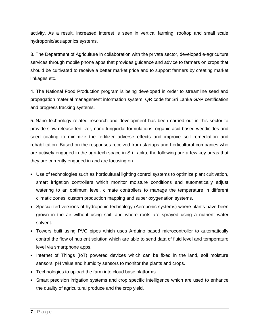activity. As a result, increased interest is seen in vertical farming, rooftop and small scale hydroponic/aquaponics systems.

3. The Department of Agriculture in collaboration with the private sector, developed e-agriculture services through mobile phone apps that provides guidance and advice to farmers on crops that should be cultivated to receive a better market price and to support farmers by creating market linkages etc.

4. The National Food Production program is being developed in order to streamline seed and propagation material management information system, QR code for Sri Lanka GAP certification and progress tracking systems.

5. Nano technology related research and development has been carried out in this sector to provide slow release fertilizer, nano fungicidal formulations, organic acid based weedicides and seed coating to minimize the fertilizer adverse effects and improve soil remediation and rehabilitation. Based on the responses received from startups and horticultural companies who are actively engaged in the agri-tech space in Sri Lanka, the following are a few key areas that they are currently engaged in and are focusing on.

- Use of technologies such as horticultural lighting control systems to optimize plant cultivation, smart irrigation controllers which monitor moisture conditions and automatically adjust watering to an optimum level, climate controllers to manage the temperature in different climatic zones, custom production mapping and super oxygenation systems.
- Specialized versions of hydroponic technology (Aeroponic systems) where plants have been grown in the air without using soil, and where roots are sprayed using a nutrient water solvent.
- Towers built using PVC pipes which uses Arduino based microcontroller to automatically control the flow of nutrient solution which are able to send data of fluid level and temperature level via smartphone apps.
- Internet of Things (IoT) powered devices which can be fixed in the land, soil moisture sensors, pH value and humidity sensors to monitor the plants and crops.
- Technologies to upload the farm into cloud base platforms.
- Smart precision irrigation systems and crop specific intelligence which are used to enhance the quality of agricultural produce and the crop yield.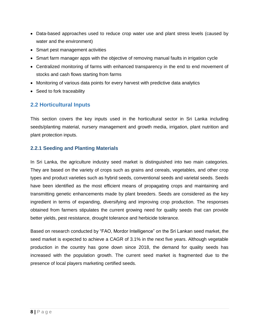- Data-based approaches used to reduce crop water use and plant stress levels (caused by water and the environment)
- Smart pest management activities
- Smart farm manager apps with the objective of removing manual faults in irrigation cycle
- Centralized monitoring of farms with enhanced transparency in the end to end movement of stocks and cash flows starting from farms
- Monitoring of various data points for every harvest with predictive data analytics
- Seed to fork traceability

## <span id="page-10-0"></span>**2.2 Horticultural Inputs**

This section covers the key inputs used in the horticultural sector in Sri Lanka including seeds/planting material, nursery management and growth media, irrigation, plant nutrition and plant protection inputs.

### <span id="page-10-1"></span>**2.2.1 Seeding and Planting Materials**

In Sri Lanka, the agriculture industry seed market is distinguished into two main categories. They are based on the variety of crops such as grains and cereals, vegetables, and other crop types and product varieties such as hybrid seeds, conventional seeds and varietal seeds. Seeds have been identified as the most efficient means of propagating crops and maintaining and transmitting genetic enhancements made by plant breeders. Seeds are considered as the key ingredient in terms of expanding, diversifying and improving crop production. The responses obtained from farmers stipulates the current growing need for quality seeds that can provide better yields, pest resistance, drought tolerance and herbicide tolerance.

Based on research conducted by "FAO, Mordor Intelligence" on the Sri Lankan seed market, the seed market is expected to achieve a CAGR of 3.1% in the next five years. Although vegetable production in the country has gone down since 2018, the demand for quality seeds has increased with the population growth. The current seed market is fragmented due to the presence of local players marketing certified seeds.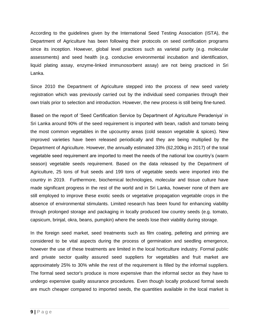According to the guidelines given by the International Seed Testing Association (ISTA), the Department of Agriculture has been following their protocols on seed certification programs since its inception. However, global level practices such as varietal purity (e.g. molecular assessments) and seed health (e.g. conducive environmental incubation and identification, liquid plating assay, enzyme-linked immunosorbent assay) are not being practiced in Sri Lanka.

Since 2010 the Department of Agriculture stepped into the process of new seed variety registration which was previously carried out by the individual seed companies through their own trials prior to selection and introduction. However, the new process is still being fine-tuned.

Based on the report of 'Seed Certification Service by Department of Agriculture Peradeniya' in Sri Lanka around 90% of the seed requirement is imported with bean, radish and tomato being the most common vegetables in the upcountry areas (cold season vegetable & spices). New improved varieties have been released periodically and they are being multiplied by the Department of Agriculture. However, the annually estimated 33% (62,200kg in 2017) of the total vegetable seed requirement are imported to meet the needs of the national low country's (warm season) vegetable seeds requirement. Based on the data released by the Department of Agriculture, 25 tons of fruit seeds and 199 tons of vegetable seeds were imported into the country in 2019. Furthermore, biochemical technologies, molecular and tissue culture have made significant progress in the rest of the world and in Sri Lanka, however none of them are still employed to improve these exotic seeds or vegetative propagation vegetable crops in the absence of environmental stimulants. Limited research has been found for enhancing viability through prolonged storage and packaging in locally produced low country seeds (e.g. tomato, capsicum, brinjal, okra, beans, pumpkin) where the seeds lose their viability during storage.

In the foreign seed market, seed treatments such as film coating, pelleting and priming are considered to be vital aspects during the process of germination and seedling emergence, however the use of these treatments are limited in the local horticulture industry. Formal public and private sector quality assured seed suppliers for vegetables and fruit market are approximately 25% to 30% while the rest of the requirement is filled by the informal suppliers. The formal seed sector's produce is more expensive than the informal sector as they have to undergo expensive quality assurance procedures. Even though locally produced formal seeds are much cheaper compared to imported seeds, the quantities available in the local market is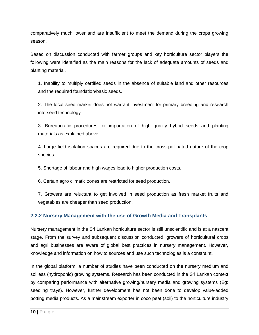comparatively much lower and are insufficient to meet the demand during the crops growing season.

Based on discussion conducted with farmer groups and key horticulture sector players the following were identified as the main reasons for the lack of adequate amounts of seeds and planting material.

1. Inability to multiply certified seeds in the absence of suitable land and other resources and the required foundation/basic seeds.

2. The local seed market does not warrant investment for primary breeding and research into seed technology

3. Bureaucratic procedures for importation of high quality hybrid seeds and planting materials as explained above

4. Large field isolation spaces are required due to the cross-pollinated nature of the crop species.

5. Shortage of labour and high wages lead to higher production costs.

6. Certain agro climatic zones are restricted for seed production.

7. Growers are reluctant to get involved in seed production as fresh market fruits and vegetables are cheaper than seed production.

### <span id="page-12-0"></span>**2.2.2 Nursery Management with the use of Growth Media and Transplants**

Nursery management in the Sri Lankan horticulture sector is still unscientific and is at a nascent stage. From the survey and subsequent discussion conducted, growers of horticultural crops and agri businesses are aware of global best practices in nursery management. However, knowledge and information on how to sources and use such technologies is a constraint.

In the global platform, a number of studies have been conducted on the nursery medium and soilless (hydroponic) growing systems. Research has been conducted in the Sri Lankan context by comparing performance with alternative growing/nursery media and growing systems (Eg: seedling trays). However, further development has not been done to develop value-added potting media products. As a mainstream exporter in coco peat (soil) to the horticulture industry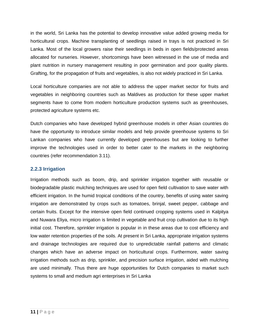in the world, Sri Lanka has the potential to develop innovative value added growing media for horticultural crops. Machine transplanting of seedlings raised in trays is not practiced in Sri Lanka. Most of the local growers raise their seedlings in beds in open fields/protected areas allocated for nurseries. However, shortcomings have been witnessed in the use of media and plant nutrition in nursery management resulting in poor germination and poor quality plants. Grafting, for the propagation of fruits and vegetables, is also not widely practiced in Sri Lanka.

Local horticulture companies are not able to address the upper market sector for fruits and vegetables in neighboring countries such as Maldives as production for these upper market segments have to come from modern horticulture production systems such as greenhouses, protected agriculture systems etc.

Dutch companies who have developed hybrid greenhouse models in other Asian countries do have the opportunity to introduce similar models and help provide greenhouse systems to Sri Lankan companies who have currently developed greenhouses but are looking to further improve the technologies used in order to better cater to the markets in the neighboring countries (refer recommendation 3.11).

### <span id="page-13-0"></span>**2.2.3 Irrigation**

Irrigation methods such as boom, drip, and sprinkler irrigation together with reusable or biodegradable plastic mulching techniques are used for open field cultivation to save water with efficient irrigation. In the humid tropical conditions of the country, benefits of using water saving irrigation are demonstrated by crops such as tomatoes, brinjal, sweet pepper, cabbage and certain fruits. Except for the intensive open field continued cropping systems used in Kalpitya and Nuwara Eliya, micro irrigation is limited in vegetable and fruit crop cultivation due to its high initial cost. Therefore, sprinkler irrigation is popular in in these areas due to cost efficiency and low water retention properties of the soils. At present in Sri Lanka, appropriate irrigation systems and drainage technologies are required due to unpredictable rainfall patterns and climatic changes which have an adverse impact on horticultural crops. Furthermore, water saving irrigation methods such as drip, sprinkler, and precision surface irrigation, aided with mulching are used minimally. Thus there are huge opportunities for Dutch companies to market such systems to small and medium agri enterprises in Sri Lanka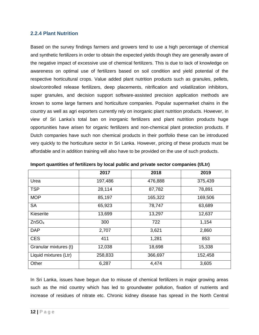#### <span id="page-14-0"></span>**2.2.4 Plant Nutrition**

Based on the survey findings farmers and growers tend to use a high percentage of chemical and synthetic fertilizers in order to obtain the expected yields though they are generally aware of the negative impact of excessive use of chemical fertilizers. This is due to lack of knowledge on awareness on optimal use of fertilizers based on soil condition and yield potential of the respective horticultural crops. Value added plant nutrition products such as granules, pellets, slow/controlled release fertilizers, deep placements, nitrification and volatilization inhibitors, super granules, and decision support software-assisted precision application methods are known to some large farmers and horticulture companies. Popular supermarket chains in the country as well as agri exporters currently rely on inorganic plant nutrition products. However, in view of Sri Lanka's total ban on inorganic fertilizers and plant nutrition products huge opportunities have arisen for organic fertilizers and non-chemical plant protection products. If Dutch companies have such non chemical products in their portfolio these can be introduced very quickly to the horticulture sector in Sri Lanka. However, pricing of these products must be affordable and in addition training will also have to be provided on the use of such products.

|                       | 2017    | 2018    | 2019    |
|-----------------------|---------|---------|---------|
| Urea                  | 197,486 | 476,888 | 375,439 |
| <b>TSP</b>            | 28,114  | 87,782  | 78,891  |
| <b>MOP</b>            | 85,197  | 165,322 | 169,506 |
| <b>SA</b>             | 65,923  | 78,747  | 63,689  |
| Kieserite             | 13,699  | 13,297  | 12,637  |
| ZnSO <sub>4</sub>     | 300     | 722     | 1,154   |
| <b>DAP</b>            | 2,707   | 3,621   | 2,860   |
| <b>CES</b>            | 411     | 1,281   | 853     |
| Granular mixtures (t) | 12,038  | 18,698  | 15,338  |
| Liquid mixtures (Ltr) | 258,833 | 366,697 | 152,458 |
| Other                 | 6,287   | 4,474   | 3,605   |

**Import quantities of fertilizers by local public and private sector companies (t/Ltr)**

In Sri Lanka, issues have begun due to misuse of chemical fertilizers in major growing areas such as the mid country which has led to groundwater pollution, fixation of nutrients and increase of residues of nitrate etc. Chronic kidney disease has spread in the North Central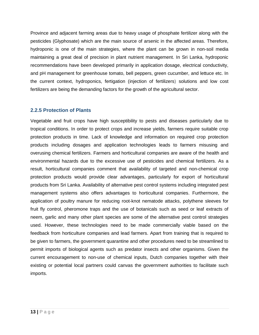Province and adjacent farming areas due to heavy usage of phosphate fertilizer along with the pesticides (Glyphosate) which are the main source of arsenic in the affected areas. Therefore, hydroponic is one of the main strategies, where the plant can be grown in non-soil media maintaining a great deal of precision in plant nutrient management. In Sri Lanka, hydroponic recommendations have been developed primarily in application dosage, electrical conductivity, and pH management for greenhouse tomato, bell peppers, green cucumber, and lettuce etc. In the current context, hydroponics, fertigation (injection of fertilizers) solutions and low cost fertilizers are being the demanding factors for the growth of the agricultural sector.

### <span id="page-15-0"></span>**2.2.5 Protection of Plants**

Vegetable and fruit crops have high susceptibility to pests and diseases particularly due to tropical conditions. In order to protect crops and increase yields, farmers require suitable crop protection products in time. Lack of knowledge and information on required crop protection products including dosages and application technologies leads to farmers misusing and overusing chemical fertilizers. Farmers and horticultural companies are aware of the health and environmental hazards due to the excessive use of pesticides and chemical fertilizers. As a result, horticultural companies comment that availability of targeted and non-chemical crop protection products would provide clear advantages, particularly for export of horticultural products from Sri Lanka. Availability of alternative pest control systems including integrated pest management systems also offers advantages to horticultural companies. Furthermore, the application of poultry manure for reducing root-knot nematode attacks, polythene sleeves for fruit fly control, pheromone traps and the use of botanicals such as seed or leaf extracts of neem, garlic and many other plant species are some of the alternative pest control strategies used. However, these technologies need to be made commercially viable based on the feedback from horticulture companies and lead farmers. Apart from training that is required to be given to farmers, the government quarantine and other procedures need to be streamlined to permit imports of biological agents such as predator insects and other organisms. Given the current encouragement to non-use of chemical inputs, Dutch companies together with their existing or potential local partners could canvas the government authorities to facilitate such imports.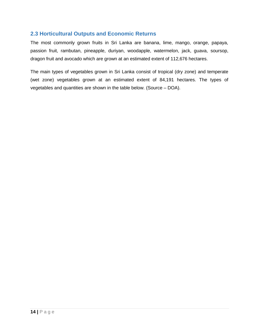### <span id="page-16-0"></span>**2.3 Horticultural Outputs and Economic Returns**

The most commonly grown fruits in Sri Lanka are banana, lime, mango, orange, papaya, passion fruit, rambutan, pineapple, duriyan, woodapple, watermelon, jack, guava, soursop, dragon fruit and avocado which are grown at an estimated extent of 112,676 hectares.

The main types of vegetables grown in Sri Lanka consist of tropical (dry zone) and temperate (wet zone) vegetables grown at an estimated extent of 84,191 hectares. The types of vegetables and quantities are shown in the table below. (Source – DOA).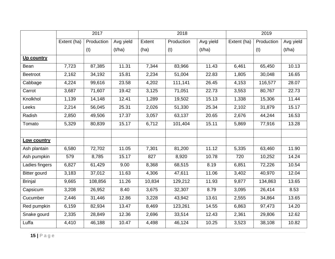|                     | 2017        |            |           |        | 2018       |           |             | 2019       |           |
|---------------------|-------------|------------|-----------|--------|------------|-----------|-------------|------------|-----------|
|                     | Extent (ha) | Production | Avg yield | Extent | Production | Avg yield | Extent (ha) | Production | Avg yield |
|                     |             | (t)        | (t/ha)    | (ha)   | (t)        | (t/ha)    |             | (t)        | (t/ha)    |
| Up country          |             |            |           |        |            |           |             |            |           |
| Bean                | 7,723       | 87,385     | 11.31     | 7,344  | 83,966     | 11.43     | 6,461       | 65,450     | 10.13     |
| <b>Beetroot</b>     | 2,162       | 34,192     | 15.81     | 2,234  | 51,004     | 22.83     | 1,805       | 30,048     | 16.65     |
| Cabbage             | 4,224       | 99,616     | 23.58     | 4,202  | 111,141    | 26.45     | 4,153       | 116,577    | 28.07     |
| Carrot              | 3,687       | 71,607     | 19.42     | 3,125  | 71,051     | 22.73     | 3,553       | 80,767     | 22.73     |
| Knolkhol            | 1,139       | 14,148     | 12.41     | 1,289  | 19,502     | 15.13     | 1,338       | 15,306     | 11.44     |
| Leeks               | 2,214       | 56,045     | 25.31     | 2,026  | 51,330     | 25.34     | 2,102       | 31,879     | 15.17     |
| Radish              | 2,850       | 49,506     | 17.37     | 3,057  | 63,137     | 20.65     | 2,676       | 44,244     | 16.53     |
| Tomato              | 5,329       | 80,839     | 15.17     | 6,712  | 101,404    | 15.11     | 5,869       | 77,916     | 13.28     |
|                     |             |            |           |        |            |           |             |            |           |
| Low country         |             |            |           |        |            |           |             |            |           |
| Ash plantain        | 6,580       | 72,702     | 11.05     | 7,301  | 81,200     | 11.12     | 5,335       | 63,460     | 11.90     |
| Ash pumpkin         | 579         | 8,785      | 15.17     | 827    | 8,920      | 10.78     | 720         | 10,252     | 14.24     |
| Ladies fingers      | 6,827       | 61,429     | 9.00      | 8,368  | 68,515     | 8.19      | 6,851       | 72,226     | 10.54     |
| <b>Bitter gourd</b> | 3,183       | 37,012     | 11.63     | 4,306  | 47,611     | 11.06     | 3,402       | 40,970     | 12.04     |
| <b>Brinjal</b>      | 9,665       | 108,856    | 11.26     | 10,834 | 129,212    | 11.93     | 9,877       | 134,863    | 13.65     |
| Capsicum            | 3,208       | 26,952     | 8.40      | 3,675  | 32,307     | 8.79      | 3,095       | 26,414     | 8.53      |
| Cucumber            | 2,446       | 31,446     | 12.86     | 3,228  | 43,942     | 13.61     | 2,555       | 34,864     | 13.65     |
| Red pumpkin         | 6,159       | 82,934     | 13.47     | 8,469  | 123,261    | 14.55     | 6,863       | 97,473     | 14.20     |
| Snake gourd         | 2,335       | 28,849     | 12.36     | 2,696  | 33,514     | 12.43     | 2,361       | 29,806     | 12.62     |
| Luffa               | 4,410       | 46,188     | 10.47     | 4,498  | 46,124     | 10.25     | 3,523       | 38,108     | 10.82     |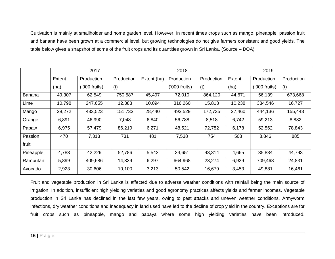Cultivation is mainly at smallholder and home garden level. However, in recent times crops such as mango, pineapple, passion fruit and banana have been grown at a commercial level, but growing technologies do not give farmers consistent and good yields. The table below gives a snapshot of some of the fruit crops and its quantities grown in Sri Lanka. (Source – DOA)

|               |        | 2017            |            |             | 2018          |            |        | 2019           |            |  |
|---------------|--------|-----------------|------------|-------------|---------------|------------|--------|----------------|------------|--|
|               | Extent | Production      | Production | Extent (ha) | Production    | Production | Extent | Production     | Production |  |
|               | (ha)   | $('000$ fruits) | (t)        |             | ('000 fruits) | (t)        | (ha)   | $(000$ fruits) | (t)        |  |
| <b>Banana</b> | 49,307 | 62,549          | 750,587    | 45,497      | 72,010        | 864,120    | 44,671 | 56,139         | 673,668    |  |
| Lime          | 10,798 | 247,655         | 12,383     | 10,094      | 316,260       | 15,813     | 10,238 | 334,546        | 16,727     |  |
| Mango         | 28,272 | 433,523         | 151,733    | 28,440      | 493,529       | 172,735    | 27,460 | 444,136        | 155,448    |  |
| Orange        | 6,891  | 46,990          | 7,048      | 6,840       | 56,788        | 8,518      | 6,742  | 59,213         | 8,882      |  |
| Papaw         | 6,975  | 57,479          | 86,219     | 6,271       | 48,521        | 72,782     | 6,178  | 52,562         | 78,843     |  |
| Passion       | 470    | 7,313           | 731        | 481         | 7,538         | 754        | 508    | 8,846          | 885        |  |
| fruit         |        |                 |            |             |               |            |        |                |            |  |
| Pineapple     | 4,783  | 42,229          | 52,786     | 5,543       | 34,651        | 43,314     | 4,665  | 35,834         | 44,793     |  |
| Rambutan      | 5,899  | 409,686         | 14,339     | 6,297       | 664,968       | 23,274     | 6,929  | 709,468        | 24,831     |  |
| Avocado       | 2,923  | 30,606          | 10,100     | 3,213       | 50,542        | 16,679     | 3,453  | 49,881         | 16,461     |  |

Fruit and vegetable production in Sri Lanka is affected due to adverse weather conditions with rainfall being the main source of irrigation. In addition, insufficient high yielding varieties and good agronomy practices affects yields and farmer incomes. Vegetable production in Sri Lanka has declined in the last few years, owing to pest attacks and uneven weather conditions. Armyworm infections, dry weather conditions and inadequacy in land used have led to the decline of crop yield in the country. Exceptions are for fruit crops such as pineapple, mango and papaya where some high yielding varieties have been introduced.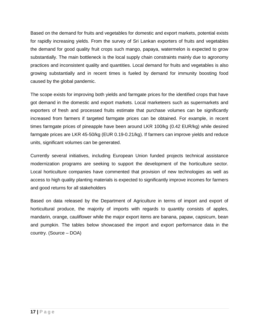Based on the demand for fruits and vegetables for domestic and export markets, potential exists for rapidly increasing yields. From the survey of Sri Lankan exporters of fruits and vegetables the demand for good quality fruit crops such mango, papaya, watermelon is expected to grow substantially. The main bottleneck is the local supply chain constraints mainly due to agronomy practices and inconsistent quality and quantities. Local demand for fruits and vegetables is also growing substantially and in recent times is fueled by demand for immunity boosting food caused by the global pandemic.

The scope exists for improving both yields and farmgate prices for the identified crops that have got demand in the domestic and export markets. Local marketeers such as supermarkets and exporters of fresh and processed fruits estimate that purchase volumes can be significantly increased from farmers if targeted farmgate prices can be obtained. For example, in recent times farmgate prices of pineapple have been around LKR 100/kg (0.42 EUR/kg) while desired farmgate prices are LKR 45-50/kg (EUR 0.19-0.21/kg). If farmers can improve yields and reduce units, significant volumes can be generated.

Currently several initiatives, including European Union funded projects technical assistance modernization programs are seeking to support the development of the horticulture sector. Local horticulture companies have commented that provision of new technologies as well as access to high quality planting materials is expected to significantly improve incomes for farmers and good returns for all stakeholders

Based on data released by the Department of Agriculture in terms of import and export of horticultural produce, the majority of imports with regards to quantity consists of apples, mandarin, orange, cauliflower while the major export items are banana, papaw, capsicum, bean and pumpkin. The tables below showcased the import and export performance data in the country. (Source – DOA)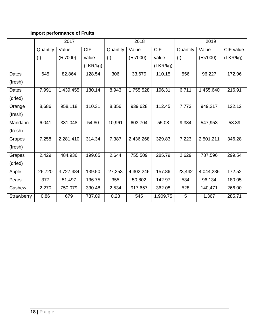# **Import performance of Fruits**

|              | 2017     |           |            |          | 2018      |            |          | 2019      |           |  |
|--------------|----------|-----------|------------|----------|-----------|------------|----------|-----------|-----------|--|
|              | Quantity | Value     | <b>CIF</b> | Quantity | Value     | <b>CIF</b> | Quantity | Value     | CIF value |  |
|              | (t)      | (Rs'000)  | value      | (t)      | (Rs'000)  | value      | (t)      | (Rs'000)  | (LKR/kg)  |  |
|              |          |           | (LKR/kg)   |          |           | (LKR/kg)   |          |           |           |  |
| Dates        | 645      | 82,864    | 128.54     | 306      | 33,679    | 110.15     | 556      | 96,227    | 172.96    |  |
| (fresh)      |          |           |            |          |           |            |          |           |           |  |
| <b>Dates</b> | 7,991    | 1,439,455 | 180.14     | 8,943    | 1,755,528 | 196.31     | 6,711    | 1,455,640 | 216.91    |  |
| (dried)      |          |           |            |          |           |            |          |           |           |  |
| Orange       | 8,686    | 958,118   | 110.31     | 8,356    | 939,628   | 112.45     | 7,773    | 949,217   | 122.12    |  |
| (fresh)      |          |           |            |          |           |            |          |           |           |  |
| Mandarin     | 6,041    | 331,048   | 54.80      | 10,961   | 603,704   | 55.08      | 9,384    | 547,953   | 58.39     |  |
| (fresh)      |          |           |            |          |           |            |          |           |           |  |
| Grapes       | 7,258    | 2,281,410 | 314.34     | 7,387    | 2,436,268 | 329.83     | 7,223    | 2,501,211 | 346.28    |  |
| (fresh)      |          |           |            |          |           |            |          |           |           |  |
| Grapes       | 2,429    | 484,936   | 199.65     | 2,644    | 755,509   | 285.79     | 2,629    | 787,596   | 299.54    |  |
| (dried)      |          |           |            |          |           |            |          |           |           |  |
| Apple        | 26,720   | 3,727,484 | 139.50     | 27,253   | 4,302,246 | 157.86     | 23,442   | 4,044,236 | 172.52    |  |
| Pears        | 377      | 51,497    | 136.75     | 355      | 50,802    | 142.97     | 534      | 96,134    | 180.05    |  |
| Cashew       | 2,270    | 750,079   | 330.48     | 2,534    | 917,657   | 362.08     | 528      | 140,471   | 266.00    |  |
| Strawberry   | 0.86     | 679       | 787.09     | 0.28     | 545       | 1,909.75   | 5        | 1,367     | 285.71    |  |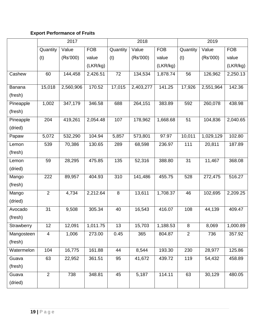# **Export Performance of Fruits**

|            |                | 2017      |            | 2018     |           |            | 2019     |           |            |
|------------|----------------|-----------|------------|----------|-----------|------------|----------|-----------|------------|
|            | Quantity       | Value     | <b>FOB</b> | Quantity | Value     | <b>FOB</b> | Quantity | Value     | <b>FOB</b> |
|            | (t)            | (Rs'000)  | value      | (t)      | (Rs'000)  | value      | (t)      | (Rs'000)  | value      |
|            |                |           | (LKR/kg)   |          |           | (LKR/kg)   |          |           | (LKR/kg)   |
| Cashew     | 60             | 144,458   | 2,426.51   | 72       | 134,534   | 1,878.74   | 56       | 126,962   | 2,250.13   |
| Banana     | 15,018         | 2,560,906 | 170.52     | 17,015   | 2,403,277 | 141.25     | 17,926   | 2,551,964 | 142.36     |
| (fresh)    |                |           |            |          |           |            |          |           |            |
| Pineapple  | 1,002          | 347,179   | 346.58     | 688      | 264,151   | 383.89     | 592      | 260,078   | 438.98     |
| (fresh)    |                |           |            |          |           |            |          |           |            |
| Pineapple  | 204            | 419,261   | 2,054.48   | 107      | 178,962   | 1,668.68   | 51       | 104,836   | 2,040.65   |
| (dried)    |                |           |            |          |           |            |          |           |            |
| Papaw      | 5,072          | 532,290   | 104.94     | 5,857    | 573,801   | 97.97      | 10,011   | 1,029,129 | 102.80     |
| Lemon      | 539            | 70,386    | 130.65     | 289      | 68,598    | 236.97     | 111      | 20,811    | 187.89     |
| (fresh)    |                |           |            |          |           |            |          |           |            |
| Lemon      | 59             | 28,295    | 475.85     | 135      | 52,316    | 388.80     | 31       | 11,467    | 368.08     |
| (dried)    |                |           |            |          |           |            |          |           |            |
| Mango      | 222            | 89,957    | 404.93     | 310      | 141,486   | 455.75     | 528      | 272,475   | 516.27     |
| (fresh)    |                |           |            |          |           |            |          |           |            |
| Mango      | $\overline{2}$ | 4,734     | 2,212.64   | $\,8\,$  | 13,611    | 1,708.37   | 46       | 102,695   | 2,209.25   |
| (dried)    |                |           |            |          |           |            |          |           |            |
| Avocado    | 31             | 9,508     | 305.34     | 40       | 16,543    | 416.07     | 108      | 44,139    | 409.47     |
| (fresh)    |                |           |            |          |           |            |          |           |            |
| Strawberry | 12             | 12,091    | 1,011.75   | 13       | 15,703    | 1,188.53   | $\,8\,$  | 8,069     | 1,000.89   |
| Mangosteen | $\overline{4}$ | 1,006     | 273.00     | 0.45     | 365       | 804.87     | 2        | 736       | 357.92     |
| (fresh)    |                |           |            |          |           |            |          |           |            |
| Watermelon | 104            | 16,775    | 161.88     | 44       | 8,544     | 193.30     | 230      | 28,977    | 125.86     |
| Guava      | 63             | 22,952    | 361.51     | 95       | 41,672    | 439.72     | 119      | 54,432    | 458.89     |
| (fresh)    |                |           |            |          |           |            |          |           |            |
| Guava      | $\overline{2}$ | 738       | 348.81     | 45       | 5,187     | 114.11     | 63       | 30,129    | 480.05     |
| (dried)    |                |           |            |          |           |            |          |           |            |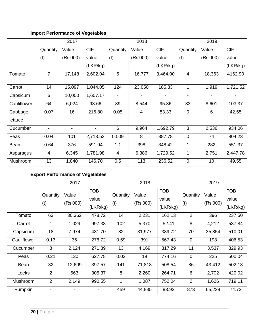# **Import Performance of Vegetables**

|             |                | 2017     |                          |                          | 2018           |            |                          | 2019     |            |  |
|-------------|----------------|----------|--------------------------|--------------------------|----------------|------------|--------------------------|----------|------------|--|
|             | Quantity       | Value    | <b>CIF</b>               | Quantity                 | Value          | <b>CIF</b> | Quantity                 | Value    | <b>CIF</b> |  |
|             | (t)            | (Rs'000) | value                    | (t)                      | (Rs'000)       | value      | (t)                      | (Rs'000) | value      |  |
|             |                |          | (LKR/kg)                 |                          |                | (LKR/kg)   |                          |          | (LKR/kg)   |  |
| Tomato      | $\overline{7}$ | 17,148   | 2,602.04                 | 5                        | 16,777         | 3,464.00   | $\overline{4}$           | 18,363   | 4162.90    |  |
|             |                |          |                          |                          |                |            |                          |          |            |  |
| Carrot      | 14             | 15,097   | 1,044.05                 | 124                      | 23,050         | 185.33     | 1                        | 1,919    | 1,721.52   |  |
| Capsicum    | 6              | 10,000   | 1,607.17                 | $\overline{\phantom{a}}$ |                |            | $\overline{\phantom{a}}$ |          |            |  |
| Cauliflower | 64             | 6,024    | 93.66                    | 89                       | 8,544          | 95.36      | 83                       | 8,601    | 103.37     |  |
| Cabbage     | 0.07           | 16       | 216.80                   | 0.05                     | $\overline{4}$ | 83.33      | $\mathbf 0$              | 6        | 42.55      |  |
| lettuce     |                |          |                          |                          |                |            |                          |          |            |  |
| Cucumber    | $\blacksquare$ | -        | $\overline{\phantom{a}}$ | 6                        | 9,964          | 1,692.79   | 3                        | 2,536    | 934.06     |  |
| Peas        | 0.04           | 101      | 2,713.53                 | 0.009                    | 8              | 887.78     | $\overline{0}$           | 74       | 804.23     |  |
| Bean        | 0.64           | 376      | 591.94                   | 1.1                      | 398            | 348.42     | 1                        | 282      | 551.37     |  |
| Asparagus   | 4              | 6,345    | 1,781.98                 | $\overline{\mathcal{A}}$ | 6,386          | 1,729.52   | 1                        | 2,751    | 2,447.78   |  |
| Mushroom    | 13             | 1,840    | 146.70                   | 0.5                      | 113            | 236.52     | $\mathbf 0$              | 10       | 49.55      |  |

# **Export Performance of Vegetables**

|             |                 | 2017              |                                 |                 | 2018              |                                 |                 | 2019              |                                 |  |
|-------------|-----------------|-------------------|---------------------------------|-----------------|-------------------|---------------------------------|-----------------|-------------------|---------------------------------|--|
|             | Quantity<br>(t) | Value<br>(Rs'000) | <b>FOB</b><br>value<br>(LKR/kg) | Quantity<br>(t) | Value<br>(Rs'000) | <b>FOB</b><br>value<br>(LKR/kg) | Quantity<br>(t) | Value<br>(Rs'000) | <b>FOB</b><br>value<br>(LKR/kg) |  |
| Tomato      | 63              | 30,362            | 478.72                          | 14              | 2,231             | 162.13                          | $\overline{2}$  | 396               | 237.50                          |  |
| Carrot      | 1               | 1,029             | 997.33                          | 102             | 5,370             | 52.41                           | 8               | 4,212             | 537.84                          |  |
| Capsicum    | 18              | 7,974             | 431.70                          | 82              | 31,977            | 389.72                          | 70              | 35,854            | 510.01                          |  |
| Cauliflower | 0.13            | 35                | 276.72                          | 0.69            | 391               | 567.43                          | $\mathbf 0$     | 198               | 406.53                          |  |
| Cucumber    | 8               | 2,124             | 271.39                          | 13              | 4,169             | 317.29                          | 11              | 3,537             | 329.93                          |  |
| Peas        | 0.21            | 130               | 627.78                          | 0.03            | 19                | 774.16                          | $\pmb{0}$       | 225               | 500.04                          |  |
| Bean        | 32              | 12,609            | 397.57                          | 141             | 71,818            | 508.54                          | 86              | 43,412            | 502.18                          |  |
| Leeks       | 2               | 563               | 305.37                          | 8               | 2,260             | 264.71                          | 6               | 2,702             | 420.02                          |  |
| Mushroom    | $\overline{2}$  | 2,149             | 990.55                          | 1               | 1,087             | 752.04                          | $\overline{2}$  | 1,626             | 719.11                          |  |
| Pumpkin     |                 |                   |                                 | 459             | 44,835            | 93.93                           | 873             | 65,229            | 74.73                           |  |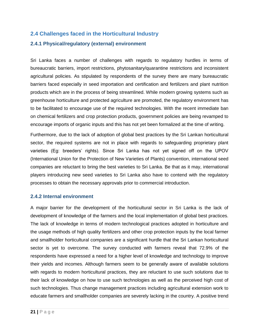### <span id="page-23-0"></span>**2.4 Challenges faced in the Horticultural Industry**

### <span id="page-23-1"></span>**2.4.1 Physical/regulatory (external) environment**

Sri Lanka faces a number of challenges with regards to regulatory hurdles in terms of bureaucratic barriers, import restrictions, phytosanitary/quarantine restrictions and inconsistent agricultural policies. As stipulated by respondents of the survey there are many bureaucratic barriers faced especially in seed importation and certification and fertilizers and plant nutrition products which are in the process of being streamlined. While modern growing systems such as greenhouse horticulture and protected agriculture are promoted, the regulatory environment has to be facilitated to encourage use of the required technologies. With the recent immediate ban on chemical fertilizers and crop protection products, government policies are being revamped to encourage imports of organic inputs and this has not yet been formalized at the time of writing.

Furthermore, due to the lack of adoption of global best practices by the Sri Lankan horticultural sector, the required systems are not in place with regards to safeguarding proprietary plant varieties (Eg: breeders' rights). Since Sri Lanka has not yet signed off on the UPOV (International Union for the Protection of New Varieties of Plants) convention, international seed companies are reluctant to bring the best varieties to Sri Lanka. Be that as it may, international players introducing new seed varieties to Sri Lanka also have to contend with the regulatory processes to obtain the necessary approvals prior to commercial introduction.

### <span id="page-23-2"></span>**2.4.2 Internal environment**

A major barrier for the development of the horticultural sector in Sri Lanka is the lack of development of knowledge of the farmers and the local implementation of global best practices. The lack of knowledge in terms of modern technological practices adopted in horticulture and the usage methods of high quality fertilizers and other crop protection inputs by the local farmer and smallholder horticultural companies are a significant hurdle that the Sri Lankan horticultural sector is yet to overcome. The survey conducted with farmers reveal that 72.9% of the respondents have expressed a need for a higher level of knowledge and technology to improve their yields and incomes. Although farmers seem to be generally aware of available solutions with regards to modern horticultural practices, they are reluctant to use such solutions due to their lack of knowledge on how to use such technologies as well as the perceived high cost of such technologies. Thus change management practices including agricultural extension work to educate farmers and smallholder companies are severely lacking in the country. A positive trend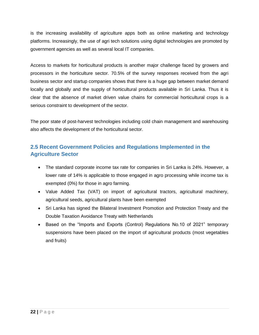is the increasing availability of agriculture apps both as online marketing and technology platforms. Increasingly, the use of agri tech solutions using digital technologies are promoted by government agencies as well as several local IT companies.

Access to markets for horticultural products is another major challenge faced by growers and processors in the horticulture sector. 70.5% of the survey responses received from the agri business sector and startup companies shows that there is a huge gap between market demand locally and globally and the supply of horticultural products available in Sri Lanka. Thus it is clear that the absence of market driven value chains for commercial horticultural crops is a serious constraint to development of the sector.

The poor state of post-harvest technologies including cold chain management and warehousing also affects the development of the horticultural sector.

# <span id="page-24-0"></span>**2.5 Recent Government Policies and Regulations Implemented in the Agriculture Sector**

- The standard corporate income tax rate for companies in Sri Lanka is 24%. However, a lower rate of 14% is applicable to those engaged in agro processing while income tax is exempted (0%) for those in agro farming.
- Value Added Tax (VAT) on import of agricultural tractors, agricultural machinery, agricultural seeds, agricultural plants have been exempted
- Sri Lanka has signed the Bilateral Investment Promotion and Protection Treaty and the Double Taxation Avoidance Treaty with Netherlands
- Based on the "Imports and Exports (Control) Regulations No.10 of 2021" temporary suspensions have been placed on the import of agricultural products (most vegetables and fruits)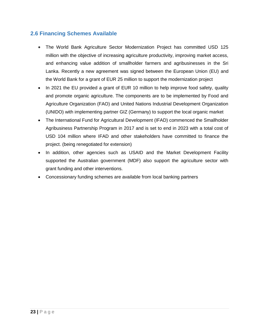## <span id="page-25-0"></span>**2.6 Financing Schemes Available**

- The World Bank Agriculture Sector Modernization Project has committed USD 125 million with the objective of increasing agriculture productivity, improving market access, and enhancing value addition of smallholder farmers and agribusinesses in the Sri Lanka. Recently a new agreement was signed between the European Union (EU) and the World Bank for a grant of EUR 25 million to support the modernization project
- In 2021 the EU provided a grant of EUR 10 million to help improve food safety, quality and promote organic agriculture. The components are to be implemented by Food and Agriculture Organization (FAO) and United Nations Industrial Development Organization (UNIDO) with implementing partner GIZ (Germany) to support the local organic market
- The International Fund for Agricultural Development (IFAD) commenced the Smallholder Agribusiness Partnership Program in 2017 and is set to end in 2023 with a total cost of USD 104 million where IFAD and other stakeholders have committed to finance the project. (being renegotiated for extension)
- In addition, other agencies such as USAID and the Market Development Facility supported the Australian government (MDF) also support the agriculture sector with grant funding and other interventions.
- Concessionary funding schemes are available from local banking partners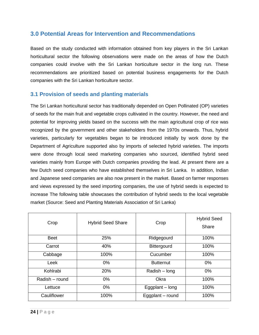# <span id="page-26-0"></span>**3.0 Potential Areas for Intervention and Recommendations**

Based on the study conducted with information obtained from key players in the Sri Lankan horticultural sector the following observations were made on the areas of how the Dutch companies could involve with the Sri Lankan horticulture sector in the long run. These recommendations are prioritized based on potential business engagements for the Dutch companies with the Sri Lankan horticulture sector.

### <span id="page-26-1"></span>**3.1 Provision of seeds and planting materials**

The Sri Lankan horticultural sector has traditionally depended on Open Pollinated (OP) varieties of seeds for the main fruit and vegetable crops cultivated in the country. However, the need and potential for improving yields based on the success with the main agricultural crop of rice was recognized by the government and other stakeholders from the 1970s onwards. Thus, hybrid varieties, particularly for vegetables began to be introduced initially by work done by the Department of Agriculture supported also by imports of selected hybrid varieties. The imports were done through local seed marketing companies who sourced, identified hybrid seed varieties mainly from Europe with Dutch companies providing the lead. At present there are a few Dutch seed companies who have established themselves in Sri Lanka. In addition, Indian and Japanese seed companies are also now present in the market. Based on farmer responses and views expressed by the seed importing companies, the use of hybrid seeds is expected to increase The following table showcases the contribution of hybrid seeds to the local vegetable market (Source: Seed and Planting Materials Association of Sri Lanka)

| Crop           | <b>Hybrid Seed Share</b> | Crop              | <b>Hybrid Seed</b><br>Share |
|----------------|--------------------------|-------------------|-----------------------------|
| <b>Beet</b>    | 25%                      | Ridgegourd        | 100%                        |
| Carrot         | 40%                      | Bittergourd       | 100%                        |
| Cabbage        | 100%                     |                   | 100%                        |
| Leek           | $0\%$                    | <b>Butternut</b>  | $0\%$                       |
| Kohlrabi       | 20%                      | Radish – long     | $0\%$                       |
| Radish - round | $0\%$                    | Okra              | 100%                        |
| Lettuce        | $0\%$                    | Eggplant $-$ long | 100%                        |
| Cauliflower    | 100%                     | Eggplant – round  | 100%                        |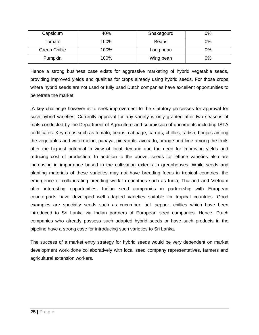| Capsicum             | 40%  | Snakegourd   | 0%    |
|----------------------|------|--------------|-------|
| Гоmato               | 100% | <b>Beans</b> | 0%    |
| <b>Green Chillie</b> | 100% | Long bean    | 0%    |
| Pumpkin              | 100% | Wing bean    | $0\%$ |

Hence a strong business case exists for aggressive marketing of hybrid vegetable seeds, providing improved yields and qualities for crops already using hybrid seeds. For those crops where hybrid seeds are not used or fully used Dutch companies have excellent opportunities to penetrate the market.

A key challenge however is to seek improvement to the statutory processes for approval for such hybrid varieties. Currently approval for any variety is only granted after two seasons of trials conducted by the Department of Agriculture and submission of documents including ISTA certificates. Key crops such as tomato, beans, cabbage, carrots, chillies, radish, brinjals among the vegetables and watermelon, papaya, pineapple, avocado, orange and lime among the fruits offer the highest potential in view of local demand and the need for improving yields and reducing cost of production. In addition to the above, seeds for lettuce varieties also are increasing in importance based in the cultivation extents in greenhouses. While seeds and planting materials of these varieties may not have breeding focus in tropical countries, the emergence of collaborating breeding work in countries such as India, Thailand and Vietnam offer interesting opportunities. Indian seed companies in partnership with European counterparts have developed well adapted varieties suitable for tropical countries. Good examples are specialty seeds such as cucumber, bell pepper, chillies which have been introduced to Sri Lanka via Indian partners of European seed companies. Hence, Dutch companies who already possess such adapted hybrid seeds or have such products in the pipeline have a strong case for introducing such varieties to Sri Lanka.

The success of a market entry strategy for hybrid seeds would be very dependent on market development work done collaboratively with local seed company representatives, farmers and agricultural extension workers.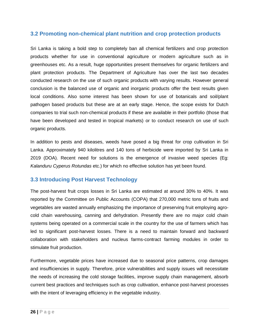### <span id="page-28-0"></span>**3.2 Promoting non-chemical plant nutrition and crop protection products**

Sri Lanka is taking a bold step to completely ban all chemical fertilizers and crop protection products whether for use in conventional agriculture or modern agriculture such as in greenhouses etc. As a result, huge opportunities present themselves for organic fertilizers and plant protection products. The Department of Agriculture has over the last two decades conducted research on the use of such organic products with varying results. However general conclusion is the balanced use of organic and inorganic products offer the best results given local conditions. Also some interest has been shown for use of botanicals and soil/plant pathogen based products but these are at an early stage. Hence, the scope exists for Dutch companies to trial such non-chemical products if these are available in their portfolio (those that have been developed and tested in tropical markets) or to conduct research on use of such organic products.

In addition to pests and diseases, weeds have posed a big threat for crop cultivation in Sri Lanka. Approximately 940 kilolitres and 140 tons of herbicide were imported by Sri Lanka in 2019 (DOA). Recent need for solutions is the emergence of invasive weed species (Eg: *Kalanduru Cyperus Rotundas* etc.) for which no effective solution has yet been found.

## <span id="page-28-1"></span>**3.3 Introducing Post Harvest Technology**

The post-harvest fruit crops losses in Sri Lanka are estimated at around 30% to 40%. It was reported by the Committee on Public Accounts (COPA) that 270,000 metric tons of fruits and vegetables are wasted annually emphasizing the importance of preserving fruit employing agrocold chain warehousing, canning and dehydration. Presently there are no major cold chain systems being operated on a commercial scale in the country for the use of farmers which has led to significant post-harvest losses. There is a need to maintain forward and backward collaboration with stakeholders and nucleus farms-contract farming modules in order to stimulate fruit production.

Furthermore, vegetable prices have increased due to seasonal price patterns, crop damages and insufficiencies in supply. Therefore, price vulnerabilities and supply issues will necessitate the needs of increasing the cold storage facilities, improve supply chain management, absorb current best practices and techniques such as crop cultivation, enhance post-harvest processes with the intent of leveraging efficiency in the vegetable industry.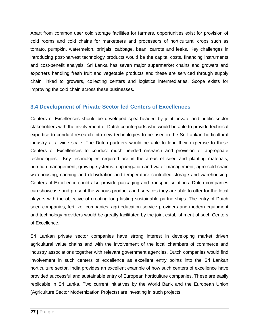Apart from common user cold storage facilities for farmers, opportunities exist for provision of cold rooms and cold chains for marketeers and processors of horticultural crops such as tomato, pumpkin, watermelon, brinjals, cabbage, bean, carrots and leeks. Key challenges in introducing post-harvest technology products would be the capital costs, financing instruments and cost-benefit analysis. Sri Lanka has seven major supermarket chains and growers and exporters handling fresh fruit and vegetable products and these are serviced through supply chain linked to growers, collecting centers and logistics intermediaries. Scope exists for improving the cold chain across these businesses.

## <span id="page-29-0"></span>**3.4 Development of Private Sector led Centers of Excellences**

Centers of Excellences should be developed spearheaded by joint private and public sector stakeholders with the involvement of Dutch counterparts who would be able to provide technical expertise to conduct research into new technologies to be used in the Sri Lankan horticultural industry at a wide scale. The Dutch partners would be able to lend their expertise to these Centers of Excellences to conduct much needed research and provision of appropriate technologies. Key technologies required are in the areas of seed and planting materials, nutrition management, growing systems, drip irrigation and water management, agro-cold chain warehousing, canning and dehydration and temperature controlled storage and warehousing. Centers of Excellence could also provide packaging and transport solutions. Dutch companies can showcase and present the various products and services they are able to offer for the local players with the objective of creating long lasting sustainable partnerships. The entry of Dutch seed companies, fertilizer companies, agri education service providers and modern equipment and technology providers would be greatly facilitated by the joint establishment of such Centers of Excellence.

Sri Lankan private sector companies have strong interest in developing market driven agricultural value chains and with the involvement of the local chambers of commerce and industry associations together with relevant government agencies, Dutch companies would find involvement in such centers of excellence as excellent entry points into the Sri Lankan horticulture sector. India provides an excellent example of how such centers of excellence have provided successful and sustainable entry of European horticulture companies. These are easily replicable in Sri Lanka. Two current initiatives by the World Bank and the European Union (Agriculture Sector Modernization Projects) are investing in such projects.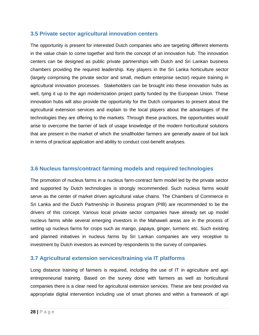### <span id="page-30-0"></span>**3.5 Private sector agricultural innovation centers**

The opportunity is present for interested Dutch companies who are targeting different elements in the value chain to come together and form the concept of an innovation hub. The innovation centers can be designed as public private partnerships with Dutch and Sri Lankan business chambers providing the required leadership. Key players in the Sri Lanka horticulture sector (largely comprising the private sector and small, medium enterprise sector) require training in agricultural innovation processes. Stakeholders can be brought into these innovation hubs as well, tying it up to the agri modernization project partly funded by the European Union. These innovation hubs will also provide the opportunity for the Dutch companies to present about the agricultural extension services and explain to the local players about the advantages of the technologies they are offering to the markets. Through these practices, the opportunities would arise to overcome the barrier of lack of usage knowledge of the modern horticultural solutions that are present in the market of which the smallholder farmers are generally aware of but lack in terms of practical application and ability to conduct cost-benefit analyses.

### <span id="page-30-1"></span>**3.6 Nucleus farms/contract farming models and required technologies**

The promotion of nucleus farms in a nucleus farm-contract farm model led by the private sector and supported by Dutch technologies is strongly recommended. Such nucleus farms would serve as the center of market driven agricultural value chains. The Chambers of Commerce in Sri Lanka and the Dutch Partnership in Business program (PIB) are recommended to be the drivers of this concept. Various local private sector companies have already set up model nucleus farms while several emerging investors in the Mahaweli areas are in the process of setting up nucleus farms for crops such as mango, papaya, ginger, turmeric etc. Such existing and planned initiatives in nucleus farms by Sri Lankan companies are very receptive to investment by Dutch investors as evinced by respondents to the survey of companies.

### <span id="page-30-2"></span>**3.7 Agricultural extension services/training via IT platforms**

Long distance training of farmers is required, including the use of IT in agriculture and agri entrepreneurial training. Based on the survey done with farmers as well as horticultural companies there is a clear need for agricultural extension services. These are best provided via appropriate digital intervention including use of smart phones and within a framework of agri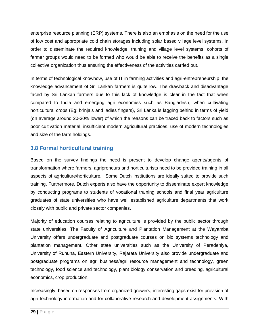enterprise resource planning (ERP) systems. There is also an emphasis on the need for the use of low cost and appropriate cold chain storages including solar based village level systems. In order to disseminate the required knowledge, training and village level systems, cohorts of farmer groups would need to be formed who would be able to receive the benefits as a single collective organization thus ensuring the effectiveness of the activities carried out.

In terms of technological knowhow, use of IT in farming activities and agri-entrepreneurship, the knowledge advancement of Sri Lankan farmers is quite low. The drawback and disadvantage faced by Sri Lankan farmers due to this lack of knowledge is clear in the fact that when compared to India and emerging agri economies such as Bangladesh, when cultivating horticultural crops (Eg: brinjals and ladies fingers), Sri Lanka is lagging behind in terms of yield (on average around 20-30% lower) of which the reasons can be traced back to factors such as poor cultivation material, insufficient modern agricultural practices, use of modern technologies and size of the farm holdings.

# <span id="page-31-0"></span>**3.8 Formal horticultural training**

Based on the survey findings the need is present to develop change agents/agents of transformation where farmers, agripreneurs and horticulturists need to be provided training in all aspects of agriculture/horticulture. Some Dutch institutions are ideally suited to provide such training. Furthermore, Dutch experts also have the opportunity to disseminate expert knowledge by conducting programs to students of vocational training schools and final year agriculture graduates of state universities who have well established agriculture departments that work closely with public and private sector companies.

Majority of education courses relating to agriculture is provided by the public sector through state universities. The Faculty of Agriculture and Plantation Management at the Wayamba University offers undergraduate and postgraduate courses on bio systems technology and plantation management. Other state universities such as the University of Peradeniya, University of Ruhuna, Eastern University, Rajarata University also provide undergraduate and postgraduate programs on agri business/agri resource management and technology, green technology, food science and technology, plant biology conservation and breeding, agricultural economics, crop production.

Increasingly, based on responses from organized growers, interesting gaps exist for provision of agri technology information and for collaborative research and development assignments. With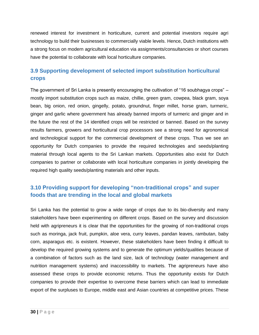renewed interest for investment in horticulture, current and potential investors require agri technology to build their businesses to commercially viable levels. Hence, Dutch institutions with a strong focus on modern agricultural education via assignments/consultancies or short courses have the potential to collaborate with local horticulture companies.

# <span id="page-32-0"></span>**3.9 Supporting development of selected import substitution horticultural crops**

The government of Sri Lanka is presently encouraging the cultivation of "16 soubhagya crops" – mostly import substitution crops such as maize, chillie, green gram, cowpea, black gram, soya bean, big onion, red onion, gingelly, potato, groundnut, finger millet, horse gram, turmeric, ginger and garlic where government has already banned imports of turmeric and ginger and in the future the rest of the 14 identified crops will be restricted or banned. Based on the survey results farmers, growers and horticultural crop processors see a strong need for agronomical and technological support for the commercial development of these crops. Thus we see an opportunity for Dutch companies to provide the required technologies and seeds/planting material through local agents to the Sri Lankan markets. Opportunities also exist for Dutch companies to partner or collaborate with local horticulture companies in jointly developing the required high quality seeds/planting materials and other inputs.

# <span id="page-32-1"></span>**3.10 Providing support for developing "non-traditional crops" and super foods that are trending in the local and global markets**

Sri Lanka has the potential to grow a wide range of crops due to its bio-diversity and many stakeholders have been experimenting on different crops. Based on the survey and discussion held with agripreneurs it is clear that the opportunities for the growing of non-traditional crops such as moringa, jack fruit, pumpkin, aloe vera, curry leaves, pandan leaves, rambutan, baby corn, asparagus etc. is existent. However, these stakeholders have been finding it difficult to develop the required growing systems and to generate the optimum yields/qualities because of a combination of factors such as the land size, lack of technology (water management and nutrition management systems) and inaccessibility to markets. The agripreneurs have also assessed these crops to provide economic returns. Thus the opportunity exists for Dutch companies to provide their expertise to overcome these barriers which can lead to immediate export of the surpluses to Europe, middle east and Asian countries at competitive prices. These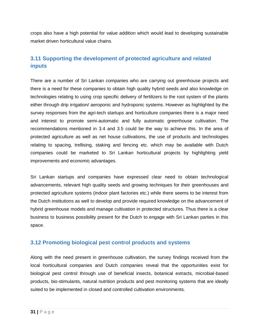crops also have a high potential for value addition which would lead to developing sustainable market driven horticultural value chains.

# <span id="page-33-0"></span>**3.11 Supporting the development of protected agriculture and related inputs**

There are a number of Sri Lankan companies who are carrying out greenhouse projects and there is a need for these companies to obtain high quality hybrid seeds and also knowledge on technologies relating to using crop specific delivery of fertilizers to the root system of the plants either through drip irrigation/ aeroponic and hydroponic systems. However as highlighted by the survey responses from the agri-tech startups and horticulture companies there is a major need and interest to promote semi-automatic and fully automatic greenhouse cultivation. The recommendations mentioned in 3.4 and 3.5 could be the way to achieve this. In the area of protected agriculture as well as net house cultivations, the use of products and technologies relating to spacing, trellising, staking and fencing etc. which may be available with Dutch companies could be marketed to Sri Lankan horticultural projects by highlighting yield improvements and economic advantages.

Sri Lankan startups and companies have expressed clear need to obtain technological advancements, relevant high quality seeds and growing techniques for their greenhouses and protected agriculture systems (indoor plant factories etc.) while there seems to be interest from the Dutch institutions as well to develop and provide required knowledge on the advancement of hybrid greenhouse models and manage cultivation in protected structures. Thus there is a clear business to business possibility present for the Dutch to engage with Sri Lankan parties in this space.

## <span id="page-33-1"></span>**3.12 Promoting biological pest control products and systems**

Along with the need present in greenhouse cultivation, the survey findings received from the local horticultural companies and Dutch companies reveal that the opportunities exist for biological pest control through use of beneficial insects, botanical extracts, microbial-based products, bio-stimulants, natural nutrition products and pest monitoring systems that are ideally suited to be implemented in closed and controlled cultivation environments.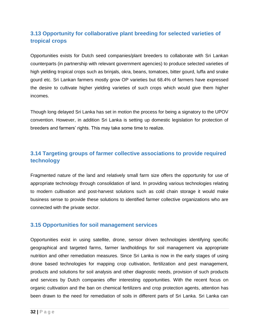# <span id="page-34-0"></span>**3.13 Opportunity for collaborative plant breeding for selected varieties of tropical crops**

Opportunities exists for Dutch seed companies/plant breeders to collaborate with Sri Lankan counterparts (in partnership with relevant government agencies) to produce selected varieties of high yielding tropical crops such as brinjals, okra, beans, tomatoes, bitter gourd, luffa and snake gourd etc. Sri Lankan farmers mostly grow OP varieties but 68.4% of farmers have expressed the desire to cultivate higher yielding varieties of such crops which would give them higher incomes.

Though long delayed Sri Lanka has set in motion the process for being a signatory to the UPOV convention. However, in addition Sri Lanka is setting up domestic legislation for protection of breeders and farmers' rights. This may take some time to realize.

# <span id="page-34-1"></span>**3.14 Targeting groups of farmer collective associations to provide required technology**

Fragmented nature of the land and relatively small farm size offers the opportunity for use of appropriate technology through consolidation of land. In providing various technologies relating to modern cultivation and post-harvest solutions such as cold chain storage it would make business sense to provide these solutions to identified farmer collective organizations who are connected with the private sector.

## <span id="page-34-2"></span>**3.15 Opportunities for soil management services**

Opportunities exist in using satellite, drone, sensor driven technologies identifying specific geographical and targeted farms, farmer landholdings for soil management via appropriate nutrition and other remediation measures. Since Sri Lanka is now in the early stages of using drone based technologies for mapping crop cultivation, fertilization and pest management, products and solutions for soil analysis and other diagnostic needs, provision of such products and services by Dutch companies offer interesting opportunities. With the recent focus on organic cultivation and the ban on chemical fertilizers and crop protection agents, attention has been drawn to the need for remediation of soils in different parts of Sri Lanka. Sri Lanka can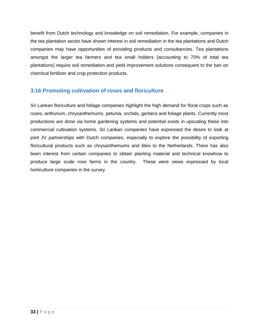benefit from Dutch technology and knowledge on soil remediation. For example, companies in the tea plantation sector have shown interest in soil remediation in the tea plantations and Dutch companies may have opportunities of providing products and consultancies. Tea plantations amongst the larger tea farmers and tea small holders (accounting to 70% of total tea plantations) require soil remediation and yield improvement solutions consequent to the ban on chemical fertilizer and crop protection products.

## <span id="page-35-0"></span>**3.16 Promoting cultivation of roses and floriculture**

Sri Lankan floriculture and foliage companies highlight the high demand for floral crops such as roses, anthurium, chrysanthemums, petunia, orchids, gerbera and foliage plants. Currently most productions are done via home gardening systems and potential exists in upscaling these into commercial cultivation systems. Sri Lankan companies have expressed the desire to look at joint JV partnerships with Dutch companies, especially to explore the possibility of exporting floricultural products such as chrysanthemums and lilies to the Netherlands. There has also been interest from certain companies to obtain planting material and technical knowhow to produce large scale rose farms in the country. These were views expressed by local horticulture companies in the survey.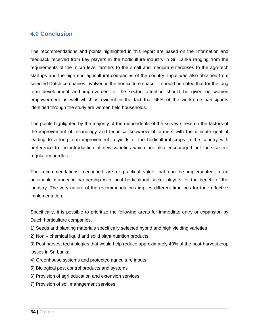# <span id="page-36-0"></span>**4.0 Conclusion**

The recommendations and points highlighted in this report are based on the information and feedback received from key players in the horticulture industry in Sri Lanka ranging from the requirements of the micro level farmers to the small and medium enterprises to the agri-tech startups and the high end agricultural companies of the country. Input was also obtained from selected Dutch companies involved in the horticulture space. It should be noted that for the long term development and improvement of the sector, attention should be given on women empowerment as well which is evident in the fact that 66% of the workforce participants identified through the study are women held households.

The points highlighted by the majority of the respondents of the survey stress on the factors of the improvement of technology and technical knowhow of farmers with the ultimate goal of leading to a long term improvement in yields of the horticultural crops in the country with preference to the introduction of new varieties which are also encouraged but face severe regulatory hurdles.

The recommendations mentioned are of practical value that can be implemented in an actionable manner in partnership with local horticultural sector players for the benefit of the industry. The very nature of the recommendations implies different timelines for their effective implementation.

Specifically, it is possible to prioritize the following areas for immediate entry or expansion by Dutch horticulture companies.

- 1) Seeds and planting materials specifically selected hybrid and high yielding varieties
- 2) Non chemical liquid and solid plant nutrition products
- 3) Post harvest technologies that would help reduce approximately 40% of the post-harvest crop losses in Sri Lanka
- 4) Greenhouse systems and protected agriculture inputs
- 5) Biological pest control products and systems
- 6) Provision of agri education and extension services
- 7) Provision of soil management services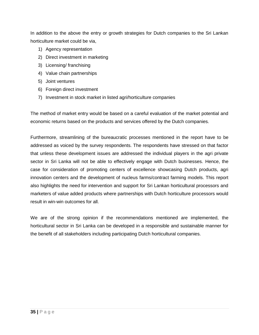In addition to the above the entry or growth strategies for Dutch companies to the Sri Lankan horticulture market could be via,

- 1) Agency representation
- 2) Direct investment in marketing
- 3) Licensing/ franchising
- 4) Value chain partnerships
- 5) Joint ventures
- 6) Foreign direct investment
- 7) Investment in stock market in listed agri/horticulture companies

The method of market entry would be based on a careful evaluation of the market potential and economic returns based on the products and services offered by the Dutch companies.

Furthermore, streamlining of the bureaucratic processes mentioned in the report have to be addressed as voiced by the survey respondents. The respondents have stressed on that factor that unless these development issues are addressed the individual players in the agri private sector in Sri Lanka will not be able to effectively engage with Dutch businesses. Hence, the case for consideration of promoting centers of excellence showcasing Dutch products, agri innovation centers and the development of nucleus farms/contract farming models. This report also highlights the need for intervention and support for Sri Lankan horticultural processors and marketers of value added products where partnerships with Dutch horticulture processors would result in win-win outcomes for all.

We are of the strong opinion if the recommendations mentioned are implemented, the horticultural sector in Sri Lanka can be developed in a responsible and sustainable manner for the benefit of all stakeholders including participating Dutch horticultural companies.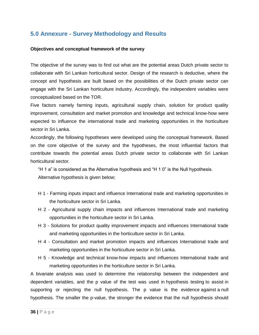# <span id="page-38-0"></span>**5.0 Annexure - Survey Methodology and Results**

#### **Objectives and conceptual framework of the survey**

The objective of the survey was to find out what are the potential areas Dutch private sector to collaborate with Sri Lankan horticultural sector. Design of the research is deductive, where the concept and hypothesis are built based on the possibilities of the Dutch private sector can engage with the Sri Lankan horticulture industry. Accordingly, the independent variables were conceptualized based on the TOR.

Five factors namely farming inputs, agricultural supply chain, solution for product quality improvement, consultation and market promotion and knowledge and technical know-how were expected to influence the international trade and marketing opportunities in the horticulture sector in Sri Lanka.

Accordingly, the following hypotheses were developed using the conceptual framework. Based on the core objective of the survey and the hypotheses, the most influential factors that contribute towards the potential areas Dutch private sector to collaborate with Sri Lankan horticultural sector.

"H 1 a" is considered as the Alternative hypothesis and "H 1 0" is the Null hypothesis. Alternative hypothesis is given below;

- H 1 Farming inputs impact and influence International trade and marketing opportunities in the horticulture sector in Sri Lanka.
- H 2 Agricultural supply chain impacts and influences International trade and marketing opportunities in the horticulture sector in Sri Lanka.
- H 3 Solutions for product quality improvement impacts and influences International trade and marketing opportunities in the horticulture sector in Sri Lanka.
- H 4 Consultation and market promotion impacts and influences International trade and marketing opportunities in the horticulture sector in Sri Lanka.
- H 5 Knowledge and technical know-how impacts and influences International trade and marketing opportunities in the horticulture sector in Sri Lanka.

A bivariate analysis was used to determine the relationship between the independent and dependent variables, and the p value of the test was used in [hypothesis testing](https://www.statisticshowto.com/probability-and-statistics/hypothesis-testing/) to assist in [supporting or rejecting the null hypothesis.](https://www.statisticshowto.com/support-or-reject-null-hypothesis/) The p value is the evidence against a null [hypothesis.](https://www.statisticshowto.com/probability-and-statistics/null-hypothesis/) The smaller the p-value, the stronger the evidence that the null hypothesis should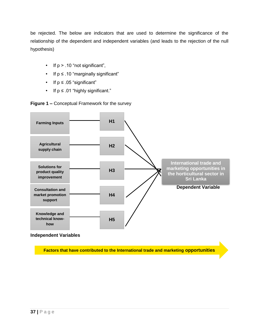be rejected. The below are indicators that are used to determine the significance of the relationship of the dependent and independent variables (and leads to the rejection of the null hypothesis)

- If  $p > .10$  "not significant",
- If p ≤ .10 "marginally significant"
- If p ≤ .05 "significant"
- If  $p \leq .01$  "highly significant."

**Figure 1 –** Conceptual Framework for the survey



**Factors that have contributed to the International trade and marketing opportunities**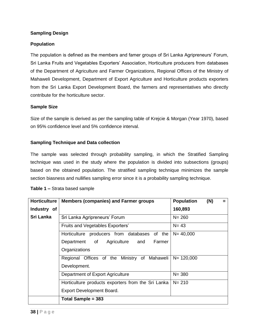#### **Sampling Design**

#### **Population**

The population is defined as the members and famer groups of Sri Lanka Agripreneurs' Forum, Sri Lanka Fruits and Vegetables Exporters' Association, Horticulture producers from databases of the Department of Agriculture and Farmer Organizations, Regional Offices of the Ministry of Mahaweli Development, Department of Export Agriculture and Horticulture products exporters from the Sri Lanka Export Development Board, the farmers and representatives who directly contribute for the horticulture sector.

#### **Sample Size**

Size of the sample is derived as per the sampling table of Krejcie & Morgan (Year 1970), based on 95% confidence level and 5% confidence interval.

#### **Sampling Technique and Data collection**

The sample was selected through probability sampling, in which the Stratified Sampling technique was used in the study where the population is divided into subsections (groups) based on the obtained population. The stratified sampling technique minimizes the sample section biasness and nullifies sampling error since it is a probability sampling technique.

| <b>Horticulture</b> | <b>Members (companies) and Farmer groups</b>       | <b>Population</b> | (N) | $=$ |
|---------------------|----------------------------------------------------|-------------------|-----|-----|
| Industry of         |                                                    | 160,893           |     |     |
| Sri Lanka           | Sri Lanka Agripreneurs' Forum                      | $N = 260$         |     |     |
|                     | Fruits and Vegetables Exporters'                   | $N = 43$          |     |     |
|                     | Horticulture producers from databases of the       | $N = 40,000$      |     |     |
|                     | Agriculture<br>Farmer<br>Department<br>of<br>and   |                   |     |     |
|                     | Organizations                                      |                   |     |     |
|                     | Regional Offices of the Ministry of Mahaweli       | $N = 120,000$     |     |     |
|                     | Development.                                       |                   |     |     |
|                     | Department of Export Agriculture                   | $N = 380$         |     |     |
|                     | Horticulture products exporters from the Sri Lanka | $N = 210$         |     |     |
|                     | Export Development Board.                          |                   |     |     |
|                     | Total Sample = 383                                 |                   |     |     |

|  |  |  | Table 1 - Strata based sample |  |  |
|--|--|--|-------------------------------|--|--|
|--|--|--|-------------------------------|--|--|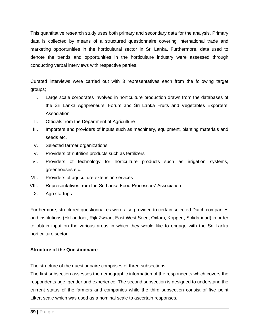This quantitative research study uses both primary and secondary data for the analysis. Primary data is collected by means of a structured questionnaire covering international trade and marketing opportunities in the horticultural sector in Sri Lanka. Furthermore, data used to denote the trends and opportunities in the horticulture industry were assessed through conducting verbal interviews with respective parties.

Curated interviews were carried out with 3 representatives each from the following target groups;

- I. Large scale corporates involved in horticulture production drawn from the databases of the Sri Lanka Agripreneurs' Forum and Sri Lanka Fruits and Vegetables Exporters' Association.
- II. Officials from the Department of Agriculture
- III. Importers and providers of inputs such as machinery, equipment, planting materials and seeds etc.
- IV. Selected farmer organizations
- V. Providers of nutrition products such as fertilizers
- VI. Providers of technology for horticulture products such as irrigation systems, greenhouses etc.
- VII. Providers of agriculture extension services
- VIII. Representatives from the Sri Lanka Food Processors' Association
- IX. Agri startups

Furthermore, structured questionnaires were also provided to certain selected Dutch companies and institutions (Hollandoor, Rijk Zwaan, East West Seed, Oxfam, Koppert, Solidaridad) in order to obtain input on the various areas in which they would like to engage with the Sri Lanka horticulture sector.

### **Structure of the Questionnaire**

The structure of the questionnaire comprises of three subsections.

The first subsection assesses the demographic information of the respondents which covers the respondents age, gender and experience. The second subsection is designed to understand the current status of the farmers and companies while the third subsection consist of five point Likert scale which was used as a nominal scale to ascertain responses.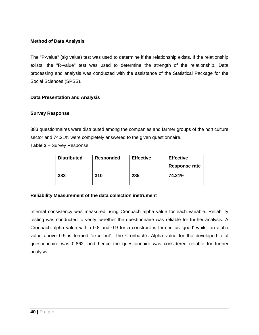#### **Method of Data Analysis**

The "P-value" (sig value) test was used to determine if the relationship exists. If the relationship exists, the "R-value" test was used to determine the strength of the relationship. Data processing and analysis was conducted with the assistance of the Statistical Package for the Social Sciences (SPSS).

#### **Data Presentation and Analysis**

#### **Survey Response**

383 questionnaires were distributed among the companies and farmer groups of the horticulture sector and 74.21% were completely answered to the given questionnaire.

**Table 2 –** Survey Response

| <b>Distributed</b> | <b>Responded</b> | <b>Effective</b> | <b>Effective</b> |  |
|--------------------|------------------|------------------|------------------|--|
|                    |                  |                  | Response rate    |  |
| 383                | 310              | 285              | 74.21%           |  |

#### **Reliability Measurement of the data collection instrument**

Internal consistency was measured using Cronbach alpha value for each variable. Reliability testing was conducted to verify, whether the questionnaire was reliable for further analysis. A Cronbach alpha value within 0.8 and 0.9 for a construct is termed as 'good' whilst an alpha value above 0.9 is termed 'excellent'. The Cronbach's Alpha value for the developed total questionnaire was 0.862, and hence the questionnaire was considered reliable for further analysis.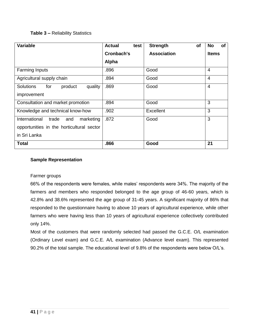### **Table 3 –** Reliability Statistics

| <b>Variable</b>                               | <b>Actual</b><br>test | <b>Strength</b><br><b>of</b> | <b>of</b><br><b>No</b> |
|-----------------------------------------------|-----------------------|------------------------------|------------------------|
|                                               | Cronbach's            | <b>Association</b>           | <b>Items</b>           |
|                                               | Alpha                 |                              |                        |
| <b>Farming Inputs</b>                         | .896                  | Good                         | $\overline{4}$         |
| Agricultural supply chain                     | .894                  | Good                         | $\overline{4}$         |
| <b>Solutions</b><br>for<br>product<br>quality | .869                  | Good                         | $\overline{4}$         |
| improvement                                   |                       |                              |                        |
| Consultation and market promotion             | .894                  | Good                         | 3                      |
| Knowledge and technical know-how              | .902                  | Excellent                    | 3                      |
| International<br>marketing<br>trade<br>and    | .872                  | Good                         | 3                      |
| opportunities in the horticultural sector     |                       |                              |                        |
| in Sri Lanka                                  |                       |                              |                        |
| <b>Total</b>                                  | .866                  | Good                         | 21                     |

#### **Sample Representation**

#### Farmer groups

66% of the respondents were females, while males' respondents were 34%. The majority of the farmers and members who responded belonged to the age group of 46-60 years, which is 42.8% and 38.6% represented the age group of 31-45 years. A significant majority of 86% that responded to the questionnaire having to above 10 years of agricultural experience, while other farmers who were having less than 10 years of agricultural experience collectively contributed only 14%.

Most of the customers that were randomly selected had passed the G.C.E. O/L examination (Ordinary Level exam) and G.C.E. A/L examination (Advance level exam). This represented 90.2% of the total sample. The educational level of 9.8% of the respondents were below O/L's.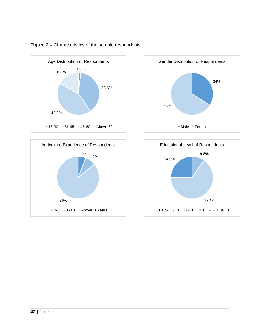

86%

 $1-5 = 6-10$  Above 10Years

### **Figure 2 –** Characteristics of the sample respondents

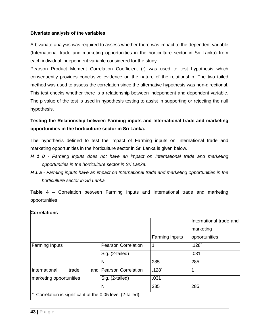#### **Bivariate analysis of the variables**

A bivariate analysis was required to assess whether there was impact to the dependent variable (International trade and marketing opportunities in the horticulture sector in Sri Lanka) from each individual independent variable considered for the study.

Pearson Product Moment Correlation Coefficient (r) was used to test hypothesis which consequently provides conclusive evidence on the nature of the relationship. The two tailed method was used to assess the correlation since the alternative hypothesis was non-directional. This test checks whether there is a relationship between independent and dependent variable. The p value of the test is used in hypothesis testing to assist in supporting or rejecting the null hypothesis.

## **Testing the Relationship between Farming inputs and International trade and marketing opportunities in the horticulture sector in Sri Lanka.**

The hypothesis defined to test the impact of Farming inputs on International trade and marketing opportunities in the horticulture sector in Sri Lanka is given below.

- *H 1 0 - Farming inputs does not have an impact on International trade and marketing opportunities in the horticulture sector in Sri Lanka.*
- *H 1 a - Farming inputs have an impact on International trade and marketing opportunities in the horticulture sector in Sri Lanka.*

**Table 4 –** Correlation between Farming Inputs and International trade and marketing opportunities

| <b>Correlations</b>                                         |                            |                       |                         |
|-------------------------------------------------------------|----------------------------|-----------------------|-------------------------|
|                                                             |                            |                       | International trade and |
|                                                             |                            |                       | marketing               |
|                                                             |                            | <b>Farming Inputs</b> | opportunities           |
| <b>Farming Inputs</b>                                       | <b>Pearson Correlation</b> | 1                     | .128                    |
|                                                             | Sig. (2-tailed)            |                       | .031                    |
|                                                             | N                          | 285                   | 285                     |
| International<br>trade                                      | and Pearson Correlation    | .128                  | 1                       |
| marketing opportunities                                     | Sig. (2-tailed)            | .031                  |                         |
|                                                             | N                          | 285                   | 285                     |
| *. Correlation is significant at the 0.05 level (2-tailed). |                            |                       |                         |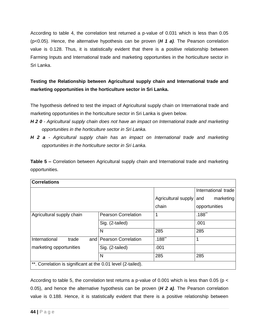According to table 4, the correlation test returned a p-value of 0.031 which is less than 0.05 (p<0.05). Hence, the alternative hypothesis can be proven (*H 1 a)*. The Pearson correlation value is 0.128. Thus, it is statistically evident that there is a positive relationship between Farming Inputs and International trade and marketing opportunities in the horticulture sector in Sri Lanka.

# **Testing the Relationship between Agricultural supply chain and International trade and marketing opportunities in the horticulture sector in Sri Lanka.**

The hypothesis defined to test the impact of Agricultural supply chain on International trade and marketing opportunities in the horticulture sector in Sri Lanka is given below.

- *H 2 0 - Agricultural supply chain does not have an impact on International trade and marketing opportunities in the horticulture sector in Sri Lanka.*
- *H 2 a - Agricultural supply chain has an impact on International trade and marketing opportunities in the horticulture sector in Sri Lanka.*

**Table 5 –** Correlation between Agricultural supply chain and International trade and marketing opportunities.

| <b>Correlations</b>                                          |                            |                         |                     |
|--------------------------------------------------------------|----------------------------|-------------------------|---------------------|
|                                                              |                            |                         | International trade |
|                                                              |                            | Agricultural supply and | marketing           |
|                                                              |                            | chain                   | opportunities       |
| Agricultural supply chain                                    | <b>Pearson Correlation</b> | 1                       | $.188**$            |
|                                                              | Sig. (2-tailed)            |                         | .001                |
|                                                              | N                          | 285                     | 285                 |
| International<br>trade                                       | and   Pearson Correlation  | $.188**$                |                     |
| marketing opportunities                                      | Sig. (2-tailed)            | .001                    |                     |
|                                                              | N                          | 285                     | 285                 |
| **. Correlation is significant at the 0.01 level (2-tailed). |                            |                         |                     |

According to table 5, the correlation test returns a p-value of 0.001 which is less than 0.05 (p < 0.05), and hence the alternative hypothesis can be proven (*H 2 a)*. The Pearson correlation value is 0.188. Hence, it is statistically evident that there is a positive relationship between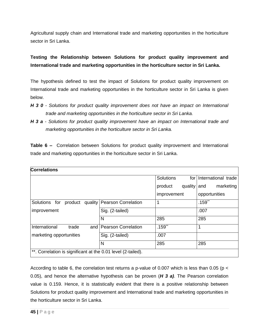Agricultural supply chain and International trade and marketing opportunities in the horticulture sector in Sri Lanka.

# **Testing the Relationship between Solutions for product quality improvement and International trade and marketing opportunities in the horticulture sector in Sri Lanka.**

The hypothesis defined to test the impact of Solutions for product quality improvement on International trade and marketing opportunities in the horticulture sector in Sri Lanka is given below.

- *H 3 0 - Solutions for product quality improvement does not have an impact on International trade and marketing opportunities in the horticulture sector in Sri Lanka.*
- *H 3 a - Solutions for product quality improvement have an impact on International trade and marketing opportunities in the horticulture sector in Sri Lanka.*

**Table 6 –** Correlation between Solutions for product quality improvement and International trade and marketing opportunities in the horticulture sector in Sri Lanka.

| <b>Correlations</b>                                          |                               |                         |                     |  |
|--------------------------------------------------------------|-------------------------------|-------------------------|---------------------|--|
|                                                              |                               | <b>Solutions</b><br>for | International trade |  |
|                                                              |                               | quality<br>product      | marketing<br>and    |  |
|                                                              |                               | improvement             | opportunities       |  |
| Solutions for<br>product                                     | quality   Pearson Correlation | 1                       | $.159$ **           |  |
| improvement                                                  | Sig. (2-tailed)               |                         | .007                |  |
|                                                              | N                             | 285                     | 285                 |  |
| International<br>trade                                       | and   Pearson Correlation     | $.159$ **               | 1                   |  |
| marketing opportunities                                      | Sig. (2-tailed)               | .007                    |                     |  |
|                                                              | N                             | 285                     | 285                 |  |
| **. Correlation is significant at the 0.01 level (2-tailed). |                               |                         |                     |  |

According to table 6, the correlation test returns a p-value of 0.007 which is less than 0.05 (p  $\lt$ 0.05), and hence the alternative hypothesis can be proven (*H 3 a)*. The Pearson correlation value is 0.159. Hence, it is statistically evident that there is a positive relationship between Solutions for product quality improvement and International trade and marketing opportunities in the horticulture sector in Sri Lanka.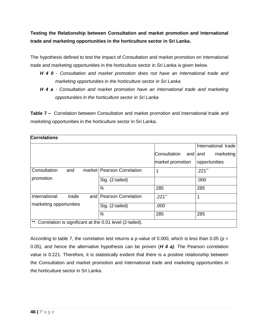**Testing the Relationship between Consultation and market promotion and International trade and marketing opportunities in the horticulture sector in Sri Lanka.**

The hypothesis defined to test the impact of Consultation and market promotion on International trade and marketing opportunities in the horticulture sector in Sri Lanka is given below.

- *H 4 0 - Consultation and market promotion does not have an International trade and marketing opportunities in the horticulture sector in Sri Lanka*
- *H 4 a - Consultation and market promotion have an International trade and marketing opportunities in the horticulture sector in Sri Lanka*

**Table 7 –** Correlation between Consultation and market promotion and International trade and marketing opportunities in the horticulture sector in Sri Lanka.

| <b>Correlations</b>                                          |                              |                  |                      |
|--------------------------------------------------------------|------------------------------|------------------|----------------------|
|                                                              |                              |                  | International trade  |
|                                                              |                              | Consultation     | marketing<br>and and |
|                                                              |                              | market promotion | opportunities        |
| Consultation<br>and                                          | market   Pearson Correlation | 1                | $.221$ **            |
| promotion                                                    | Sig. (2-tailed)              |                  | .000                 |
|                                                              | N                            | 285              | 285                  |
| International<br>trade                                       | and   Pearson Correlation    | $.221$ **        | 1                    |
| marketing opportunities                                      | Sig. (2-tailed)              | .000             |                      |
|                                                              | N                            | 285              | 285                  |
| **. Correlation is significant at the 0.01 level (2-tailed). |                              |                  |                      |

According to table 7, the correlation test returns a p-value of 0.000, which is less than 0.05 (p < 0.05), and hence the alternative hypothesis can be proven (*H 4 a)*. The Pearson correlation value is 0.221. Therefore, it is statistically evident that there is a positive relationship between the Consultation and market promotion and International trade and marketing opportunities in the horticulture sector in Sri Lanka.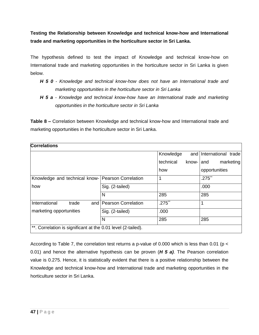**Testing the Relationship between Knowledge and technical know-how and International trade and marketing opportunities in the horticulture sector in Sri Lanka.**

The hypothesis defined to test the impact of Knowledge and technical know-how on International trade and marketing opportunities in the horticulture sector in Sri Lanka is given below.

- *H 5 0 - Knowledge and technical know-how does not have an International trade and marketing opportunities in the horticulture sector in Sri Lanka*
- *H 5 a - Knowledge and technical know-how have an International trade and marketing opportunities in the horticulture sector in Sri Lanka*

**Table 8 –** Correlation between Knowledge and technical know-how and International trade and marketing opportunities in the horticulture sector in Sri Lanka.

| <b>Correlations</b>                                          |                           |           |           |                         |           |
|--------------------------------------------------------------|---------------------------|-----------|-----------|-------------------------|-----------|
|                                                              |                           | Knowledge |           | and International trade |           |
|                                                              |                           | technical | know-land |                         | marketing |
|                                                              |                           | how       |           | opportunities           |           |
| Knowledge and technical know-   Pearson Correlation          |                           |           |           | $.275**$                |           |
| how                                                          | Sig. (2-tailed)           |           |           | .000                    |           |
|                                                              | N                         | 285       |           | 285                     |           |
| International<br>trade                                       | and   Pearson Correlation | $.275$ ** |           | 1                       |           |
| marketing opportunities                                      | Sig. (2-tailed)           | .000      |           |                         |           |
|                                                              | N                         | 285       |           | 285                     |           |
| **. Correlation is significant at the 0.01 level (2-tailed). |                           |           |           |                         |           |

According to Table 7, the correlation test returns a p-value of 0.000 which is less than 0.01 (p < 0.01) and hence the alternative hypothesis can be proven (*H 5 a)*. The Pearson correlation value is 0.275. Hence, it is statistically evident that there is a positive relationship between the Knowledge and technical know-how and International trade and marketing opportunities in the horticulture sector in Sri Lanka.